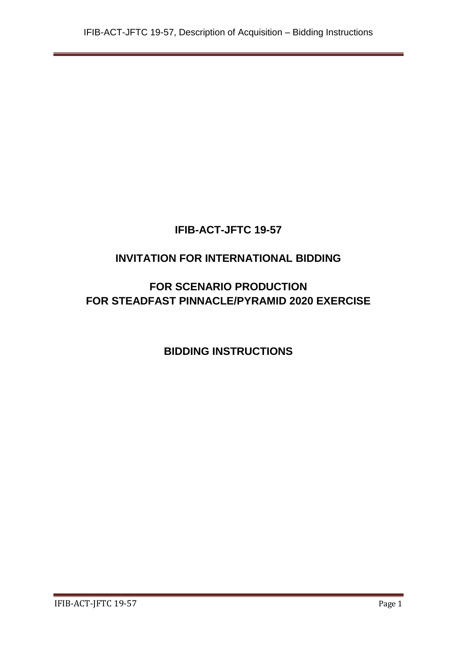# **IFIB-ACT-JFTC 19-57**

# **INVITATION FOR INTERNATIONAL BIDDING**

# **FOR SCENARIO PRODUCTION FOR STEADFAST PINNACLE/PYRAMID 2020 EXERCISE**

# **BIDDING INSTRUCTIONS**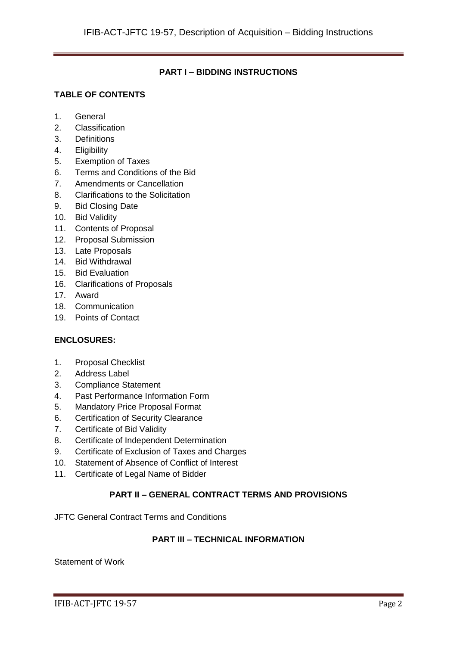## **PART I – BIDDING INSTRUCTIONS**

## **TABLE OF CONTENTS**

- 1. General
- 2. Classification
- 3. Definitions
- 4. Eligibility
- 5. Exemption of Taxes
- 6. Terms and Conditions of the Bid
- 7. Amendments or Cancellation
- 8. Clarifications to the Solicitation
- 9. Bid Closing Date
- 10. Bid Validity
- 11. Contents of Proposal
- 12. Proposal Submission
- 13. Late Proposals
- 14. Bid Withdrawal
- 15. Bid Evaluation
- 16. Clarifications of Proposals
- 17. Award
- 18. Communication
- 19. Points of Contact

## **ENCLOSURES:**

- 1. Proposal Checklist
- 2. Address Label
- 3. Compliance Statement
- 4. Past Performance Information Form
- 5. Mandatory Price Proposal Format
- 6. Certification of Security Clearance
- 7. Certificate of Bid Validity
- 8. Certificate of Independent Determination
- 9. Certificate of Exclusion of Taxes and Charges
- 10. Statement of Absence of Conflict of Interest
- 11. Certificate of Legal Name of Bidder

## **PART II – GENERAL CONTRACT TERMS AND PROVISIONS**

JFTC General Contract Terms and Conditions

## **PART III – TECHNICAL INFORMATION**

Statement of Work

IFIB-ACT-JFTC 19-57 Page 2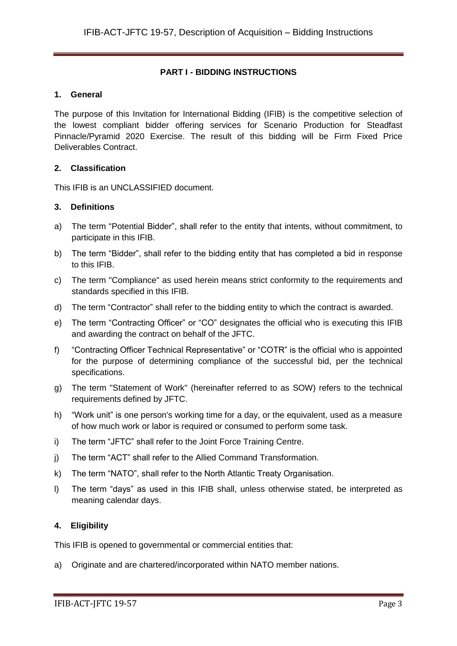## **PART I - BIDDING INSTRUCTIONS**

#### **1. General**

The purpose of this Invitation for International Bidding (IFIB) is the competitive selection of the lowest compliant bidder offering services for Scenario Production for Steadfast Pinnacle/Pyramid 2020 Exercise. The result of this bidding will be Firm Fixed Price Deliverables Contract.

#### **2. Classification**

This IFIB is an UNCLASSIFIED document.

#### **3. Definitions**

- a) The term "Potential Bidder", shall refer to the entity that intents, without commitment, to participate in this IFIB.
- b) The term "Bidder", shall refer to the bidding entity that has completed a bid in response to this IFIB.
- c) The term "Compliance" as used herein means strict conformity to the requirements and standards specified in this IFIB.
- d) The term "Contractor" shall refer to the bidding entity to which the contract is awarded.
- e) The term "Contracting Officer" or "CO" designates the official who is executing this IFIB and awarding the contract on behalf of the JFTC.
- f) "Contracting Officer Technical Representative" or "COTR" is the official who is appointed for the purpose of determining compliance of the successful bid, per the technical specifications.
- g) The term "Statement of Work" (hereinafter referred to as SOW) refers to the technical requirements defined by JFTC.
- h) "Work unit" is one person's working time for a day, or the equivalent, used as a measure of how much work or labor is required or consumed to perform some task.
- i) The term "JFTC" shall refer to the Joint Force Training Centre.
- j) The term "ACT" shall refer to the Allied Command Transformation.
- k) The term "NATO", shall refer to the North Atlantic Treaty Organisation.
- l) The term "days" as used in this IFIB shall, unless otherwise stated, be interpreted as meaning calendar days.

## **4. Eligibility**

This IFIB is opened to governmental or commercial entities that:

a) Originate and are chartered/incorporated within NATO member nations.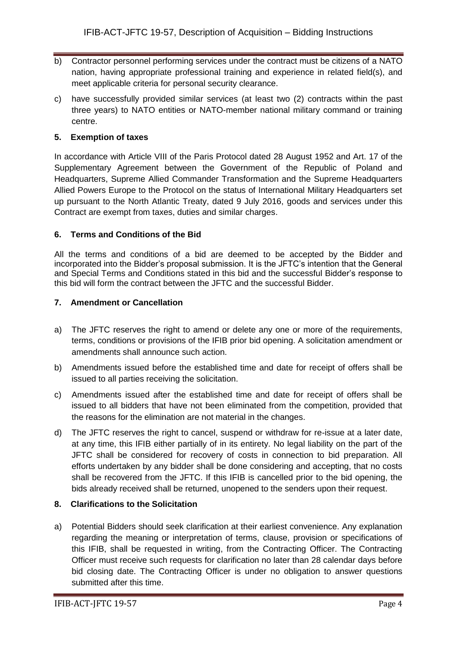- b) Contractor personnel performing services under the contract must be citizens of a NATO nation, having appropriate professional training and experience in related field(s), and meet applicable criteria for personal security clearance.
- c) have successfully provided similar services (at least two (2) contracts within the past three years) to NATO entities or NATO-member national military command or training centre.

## **5. Exemption of taxes**

In accordance with Article VIII of the Paris Protocol dated 28 August 1952 and Art. 17 of the Supplementary Agreement between the Government of the Republic of Poland and Headquarters, Supreme Allied Commander Transformation and the Supreme Headquarters Allied Powers Europe to the Protocol on the status of International Military Headquarters set up pursuant to the North Atlantic Treaty, dated 9 July 2016, goods and services under this Contract are exempt from taxes, duties and similar charges.

## **6. Terms and Conditions of the Bid**

All the terms and conditions of a bid are deemed to be accepted by the Bidder and incorporated into the Bidder's proposal submission. It is the JFTC's intention that the General and Special Terms and Conditions stated in this bid and the successful Bidder's response to this bid will form the contract between the JFTC and the successful Bidder.

## **7. Amendment or Cancellation**

- a) The JFTC reserves the right to amend or delete any one or more of the requirements, terms, conditions or provisions of the IFIB prior bid opening. A solicitation amendment or amendments shall announce such action.
- b) Amendments issued before the established time and date for receipt of offers shall be issued to all parties receiving the solicitation.
- c) Amendments issued after the established time and date for receipt of offers shall be issued to all bidders that have not been eliminated from the competition, provided that the reasons for the elimination are not material in the changes.
- d) The JFTC reserves the right to cancel, suspend or withdraw for re-issue at a later date, at any time, this IFIB either partially of in its entirety. No legal liability on the part of the JFTC shall be considered for recovery of costs in connection to bid preparation. All efforts undertaken by any bidder shall be done considering and accepting, that no costs shall be recovered from the JFTC. If this IFIB is cancelled prior to the bid opening, the bids already received shall be returned, unopened to the senders upon their request.

## **8. Clarifications to the Solicitation**

a) Potential Bidders should seek clarification at their earliest convenience. Any explanation regarding the meaning or interpretation of terms, clause, provision or specifications of this IFIB, shall be requested in writing, from the Contracting Officer. The Contracting Officer must receive such requests for clarification no later than 28 calendar days before bid closing date. The Contracting Officer is under no obligation to answer questions submitted after this time.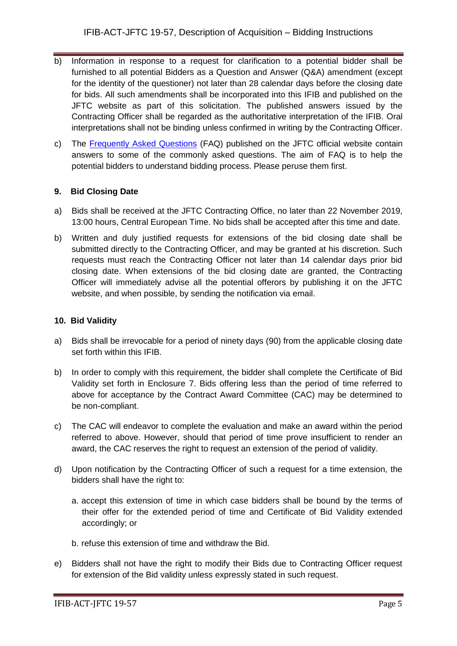- b) Information in response to a request for clarification to a potential bidder shall be furnished to all potential Bidders as a Question and Answer (Q&A) amendment (except for the identity of the questioner) not later than 28 calendar days before the closing date for bids. All such amendments shall be incorporated into this IFIB and published on the JFTC website as part of this solicitation. The published answers issued by the Contracting Officer shall be regarded as the authoritative interpretation of the IFIB. Oral interpretations shall not be binding unless confirmed in writing by the Contracting Officer.
- c) The [Frequently Asked Questions](http://www.jftc.nato.int/organization/contracting) (FAQ) published on the JFTC official website contain answers to some of the commonly asked questions. The aim of FAQ is to help the potential bidders to understand bidding process. Please peruse them first.

## **9. Bid Closing Date**

- a) Bids shall be received at the JFTC Contracting Office, no later than 22 November 2019, 13:00 hours, Central European Time. No bids shall be accepted after this time and date.
- b) Written and duly justified requests for extensions of the bid closing date shall be submitted directly to the Contracting Officer, and may be granted at his discretion. Such requests must reach the Contracting Officer not later than 14 calendar days prior bid closing date. When extensions of the bid closing date are granted, the Contracting Officer will immediately advise all the potential offerors by publishing it on the JFTC website, and when possible, by sending the notification via email.

#### **10. Bid Validity**

- a) Bids shall be irrevocable for a period of ninety days (90) from the applicable closing date set forth within this IFIB.
- b) In order to comply with this requirement, the bidder shall complete the Certificate of Bid Validity set forth in Enclosure 7. Bids offering less than the period of time referred to above for acceptance by the Contract Award Committee (CAC) may be determined to be non-compliant.
- c) The CAC will endeavor to complete the evaluation and make an award within the period referred to above. However, should that period of time prove insufficient to render an award, the CAC reserves the right to request an extension of the period of validity.
- d) Upon notification by the Contracting Officer of such a request for a time extension, the bidders shall have the right to:
	- a. accept this extension of time in which case bidders shall be bound by the terms of their offer for the extended period of time and Certificate of Bid Validity extended accordingly; or
	- b. refuse this extension of time and withdraw the Bid.
- e) Bidders shall not have the right to modify their Bids due to Contracting Officer request for extension of the Bid validity unless expressly stated in such request.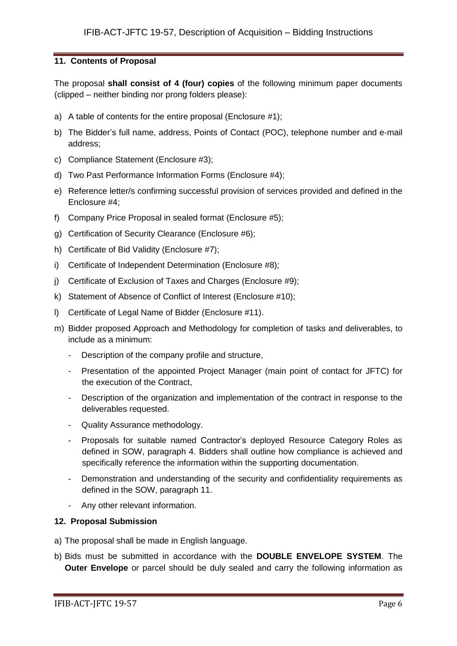## **11. Contents of Proposal**

The proposal **shall consist of 4 (four) copies** of the following minimum paper documents (clipped – neither binding nor prong folders please):

- a) A table of contents for the entire proposal (Enclosure #1);
- b) The Bidder's full name, address, Points of Contact (POC), telephone number and e-mail address;
- c) Compliance Statement (Enclosure #3);
- d) Two Past Performance Information Forms (Enclosure #4);
- e) Reference letter/s confirming successful provision of services provided and defined in the Enclosure #4;
- f) Company Price Proposal in sealed format (Enclosure #5);
- g) Certification of Security Clearance (Enclosure #6);
- h) Certificate of Bid Validity (Enclosure #7);
- i) Certificate of Independent Determination (Enclosure #8);
- j) Certificate of Exclusion of Taxes and Charges (Enclosure #9);
- k) Statement of Absence of Conflict of Interest (Enclosure #10);
- l) Certificate of Legal Name of Bidder (Enclosure #11).
- m) Bidder proposed Approach and Methodology for completion of tasks and deliverables, to include as a minimum:
	- Description of the company profile and structure,
	- Presentation of the appointed Project Manager (main point of contact for JFTC) for the execution of the Contract,
	- Description of the organization and implementation of the contract in response to the deliverables requested.
	- Quality Assurance methodology.
	- Proposals for suitable named Contractor's deployed Resource Category Roles as defined in SOW, paragraph 4. Bidders shall outline how compliance is achieved and specifically reference the information within the supporting documentation.
	- Demonstration and understanding of the security and confidentiality requirements as defined in the SOW, paragraph 11.
	- Any other relevant information.

#### **12. Proposal Submission**

- a) The proposal shall be made in English language.
- b) Bids must be submitted in accordance with the **DOUBLE ENVELOPE SYSTEM**. The **Outer Envelope** or parcel should be duly sealed and carry the following information as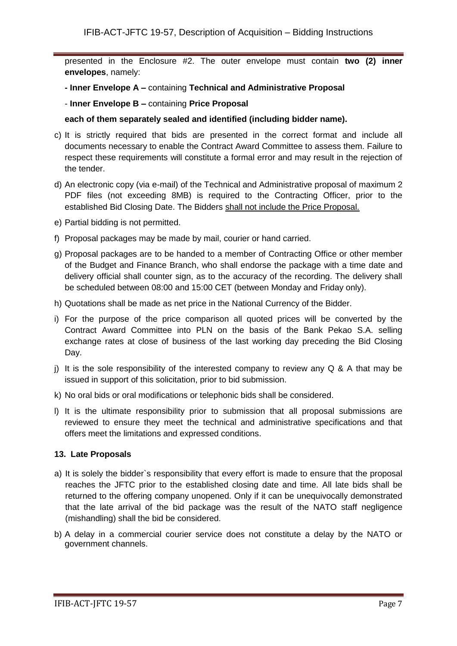presented in the Enclosure #2. The outer envelope must contain **two (2) inner envelopes**, namely:

- **- Inner Envelope A –** containing **Technical and Administrative Proposal**
- **Inner Envelope B –** containing **Price Proposal**

#### **each of them separately sealed and identified (including bidder name).**

- c) It is strictly required that bids are presented in the correct format and include all documents necessary to enable the Contract Award Committee to assess them. Failure to respect these requirements will constitute a formal error and may result in the rejection of the tender.
- d) An electronic copy (via e-mail) of the Technical and Administrative proposal of maximum 2 PDF files (not exceeding 8MB) is required to the Contracting Officer, prior to the established Bid Closing Date. The Bidders shall not include the Price Proposal.
- e) Partial bidding is not permitted.
- f) Proposal packages may be made by mail, courier or hand carried.
- g) Proposal packages are to be handed to a member of Contracting Office or other member of the Budget and Finance Branch, who shall endorse the package with a time date and delivery official shall counter sign, as to the accuracy of the recording. The delivery shall be scheduled between 08:00 and 15:00 CET (between Monday and Friday only).
- h) Quotations shall be made as net price in the National Currency of the Bidder.
- i) For the purpose of the price comparison all quoted prices will be converted by the Contract Award Committee into PLN on the basis of the Bank Pekao S.A. selling exchange rates at close of business of the last working day preceding the Bid Closing Day.
- i) It is the sole responsibility of the interested company to review any  $Q \& A$  that may be issued in support of this solicitation, prior to bid submission.
- k) No oral bids or oral modifications or telephonic bids shall be considered.
- l) It is the ultimate responsibility prior to submission that all proposal submissions are reviewed to ensure they meet the technical and administrative specifications and that offers meet the limitations and expressed conditions.

## **13. Late Proposals**

- a) It is solely the bidder`s responsibility that every effort is made to ensure that the proposal reaches the JFTC prior to the established closing date and time. All late bids shall be returned to the offering company unopened. Only if it can be unequivocally demonstrated that the late arrival of the bid package was the result of the NATO staff negligence (mishandling) shall the bid be considered.
- b) A delay in a commercial courier service does not constitute a delay by the NATO or government channels.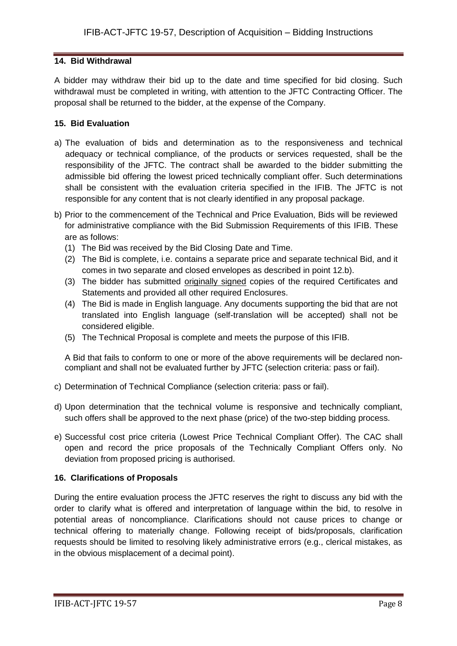## **14. Bid Withdrawal**

A bidder may withdraw their bid up to the date and time specified for bid closing. Such withdrawal must be completed in writing, with attention to the JFTC Contracting Officer. The proposal shall be returned to the bidder, at the expense of the Company.

## **15. Bid Evaluation**

- a) The evaluation of bids and determination as to the responsiveness and technical adequacy or technical compliance, of the products or services requested, shall be the responsibility of the JFTC. The contract shall be awarded to the bidder submitting the admissible bid offering the lowest priced technically compliant offer. Such determinations shall be consistent with the evaluation criteria specified in the IFIB. The JFTC is not responsible for any content that is not clearly identified in any proposal package.
- b) Prior to the commencement of the Technical and Price Evaluation, Bids will be reviewed for administrative compliance with the Bid Submission Requirements of this IFIB. These are as follows:
	- (1) The Bid was received by the Bid Closing Date and Time.
	- (2) The Bid is complete, i.e. contains a separate price and separate technical Bid, and it comes in two separate and closed envelopes as described in point 12.b).
	- (3) The bidder has submitted originally signed copies of the required Certificates and Statements and provided all other required Enclosures.
	- (4) The Bid is made in English language. Any documents supporting the bid that are not translated into English language (self-translation will be accepted) shall not be considered eligible.
	- (5) The Technical Proposal is complete and meets the purpose of this IFIB.

A Bid that fails to conform to one or more of the above requirements will be declared noncompliant and shall not be evaluated further by JFTC (selection criteria: pass or fail).

- c) Determination of Technical Compliance (selection criteria: pass or fail).
- d) Upon determination that the technical volume is responsive and technically compliant, such offers shall be approved to the next phase (price) of the two-step bidding process.
- e) Successful cost price criteria (Lowest Price Technical Compliant Offer). The CAC shall open and record the price proposals of the Technically Compliant Offers only. No deviation from proposed pricing is authorised.

## **16. Clarifications of Proposals**

During the entire evaluation process the JFTC reserves the right to discuss any bid with the order to clarify what is offered and interpretation of language within the bid, to resolve in potential areas of noncompliance. Clarifications should not cause prices to change or technical offering to materially change. Following receipt of bids/proposals, clarification requests should be limited to resolving likely administrative errors (e.g., clerical mistakes, as in the obvious misplacement of a decimal point).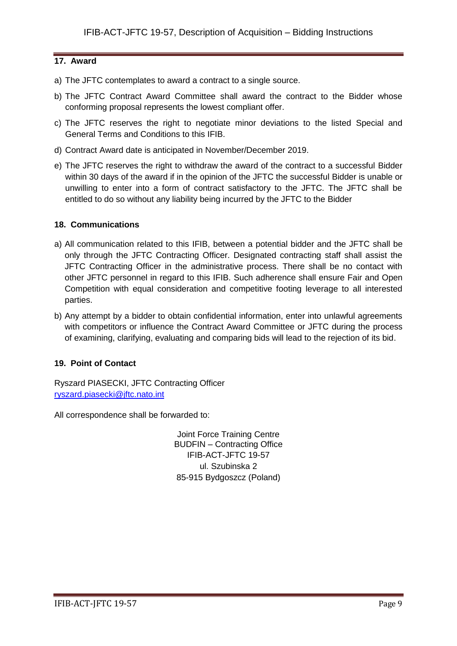## **17. Award**

- a) The JFTC contemplates to award a contract to a single source.
- b) The JFTC Contract Award Committee shall award the contract to the Bidder whose conforming proposal represents the lowest compliant offer.
- c) The JFTC reserves the right to negotiate minor deviations to the listed Special and General Terms and Conditions to this IFIB.
- d) Contract Award date is anticipated in November/December 2019.
- e) The JFTC reserves the right to withdraw the award of the contract to a successful Bidder within 30 days of the award if in the opinion of the JFTC the successful Bidder is unable or unwilling to enter into a form of contract satisfactory to the JFTC. The JFTC shall be entitled to do so without any liability being incurred by the JFTC to the Bidder

## **18. Communications**

- a) All communication related to this IFIB, between a potential bidder and the JFTC shall be only through the JFTC Contracting Officer. Designated contracting staff shall assist the JFTC Contracting Officer in the administrative process. There shall be no contact with other JFTC personnel in regard to this IFIB. Such adherence shall ensure Fair and Open Competition with equal consideration and competitive footing leverage to all interested parties.
- b) Any attempt by a bidder to obtain confidential information, enter into unlawful agreements with competitors or influence the Contract Award Committee or JFTC during the process of examining, clarifying, evaluating and comparing bids will lead to the rejection of its bid.

## **19. Point of Contact**

Ryszard PIASECKI, JFTC Contracting Officer [ryszard.piasecki@jftc.nato.int](mailto:ryszard.piasecki@jftc.nato.int)

All correspondence shall be forwarded to:

Joint Force Training Centre BUDFIN – Contracting Office IFIB-ACT-JFTC 19-57 ul. Szubinska 2 85-915 Bydgoszcz (Poland)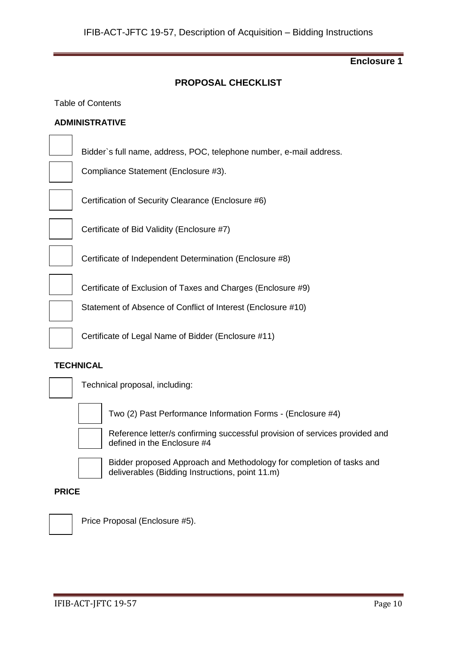## **PROPOSAL CHECKLIST**

#### Table of Contents

#### **ADMINISTRATIVE**

Bidder`s full name, address, POC, telephone number, e-mail address.

Compliance Statement (Enclosure #3).

Certification of Security Clearance (Enclosure #6)



Certificate of Bid Validity (Enclosure #7)

Certificate of Independent Determination (Enclosure #8)

Certificate of Exclusion of Taxes and Charges (Enclosure #9)

Statement of Absence of Conflict of Interest (Enclosure #10)

Certificate of Legal Name of Bidder (Enclosure #11)

#### **TECHNICAL**



Technical proposal, including:



Two (2) Past Performance Information Forms - (Enclosure #4)



Reference letter/s confirming successful provision of services provided and defined in the Enclosure #4



Bidder proposed Approach and Methodology for completion of tasks and deliverables (Bidding Instructions, point 11.m)

#### **PRICE**



Price Proposal (Enclosure #5).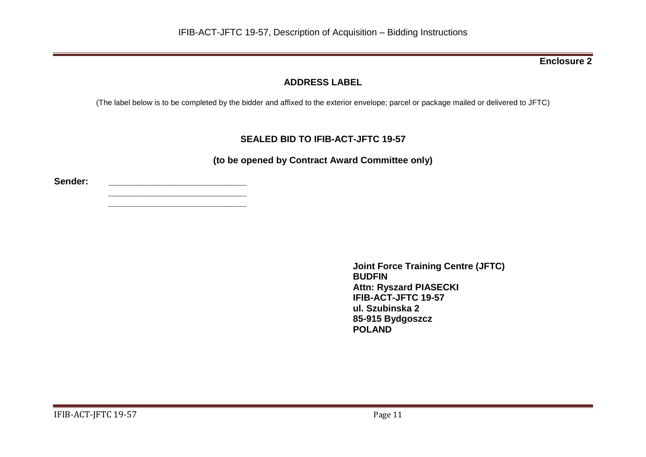# **ADDRESS LABEL**

(The label below is to be completed by the bidder and affixed to the exterior envelope; parcel or package mailed or delivered to JFTC)

# **SEALED BID TO IFIB-ACT-JFTC 19-57**

**(to be opened by Contract Award Committee only)**

**Sender: \_\_\_\_\_\_\_\_\_\_\_\_\_\_\_\_\_\_\_\_\_\_\_\_\_\_\_**

**\_\_\_\_\_\_\_\_\_\_\_\_\_\_\_\_\_\_\_\_\_\_\_\_\_\_\_ \_\_\_\_\_\_\_\_\_\_\_\_\_\_\_\_\_\_\_\_\_\_\_\_\_\_\_**

> **Joint Force Training Centre (JFTC) BUDFIN Attn: Ryszard PIASECKI IFIB-ACT-JFTC 19-57 ul. Szubinska 2 85-915 Bydgoszcz POLAND**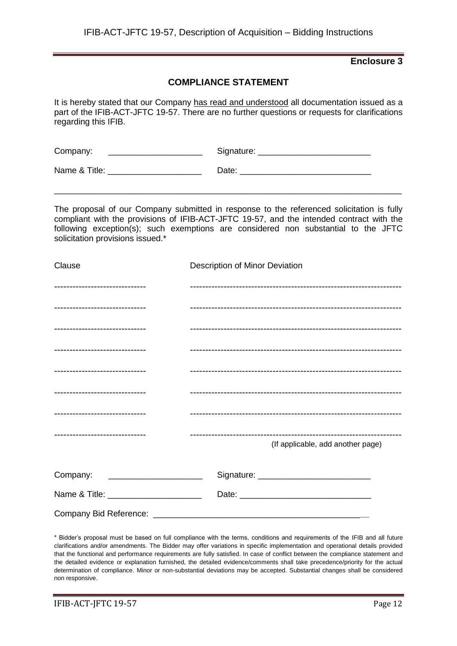## **COMPLIANCE STATEMENT**

It is hereby stated that our Company has read and understood all documentation issued as a part of the IFIB-ACT-JFTC 19-57. There are no further questions or requests for clarifications regarding this IFIB.

| Company:      | Signature: |
|---------------|------------|
| Name & Title: | Date:      |

The proposal of our Company submitted in response to the referenced solicitation is fully compliant with the provisions of IFIB-ACT-JFTC 19-57, and the intended contract with the following exception(s); such exemptions are considered non substantial to the JFTC solicitation provisions issued.\*

\_\_\_\_\_\_\_\_\_\_\_\_\_\_\_\_\_\_\_\_\_\_\_\_\_\_\_\_\_\_\_\_\_\_\_\_\_\_\_\_\_\_\_\_\_\_\_\_\_\_\_\_\_\_\_\_\_\_\_\_\_\_\_\_\_\_\_\_\_\_\_\_\_\_

| Clause                                | Description of Minor Deviation    |
|---------------------------------------|-----------------------------------|
| ------------------------------        |                                   |
| ------------------------------        |                                   |
| -------------------------------       |                                   |
| -------------------------------       |                                   |
| -------------------------------       |                                   |
| -------------------------------       |                                   |
| -------------------------------       |                                   |
| -------------------------------       | (If applicable, add another page) |
| Company:                              |                                   |
| Name & Title: _______________________ |                                   |
|                                       |                                   |

\* Bidder's proposal must be based on full compliance with the terms, conditions and requirements of the IFIB and all future clarifications and/or amendments. The Bidder may offer variations in specific implementation and operational details provided that the functional and performance requirements are fully satisfied. In case of conflict between the compliance statement and the detailed evidence or explanation furnished, the detailed evidence/comments shall take precedence/priority for the actual determination of compliance. Minor or non-substantial deviations may be accepted. Substantial changes shall be considered non responsive.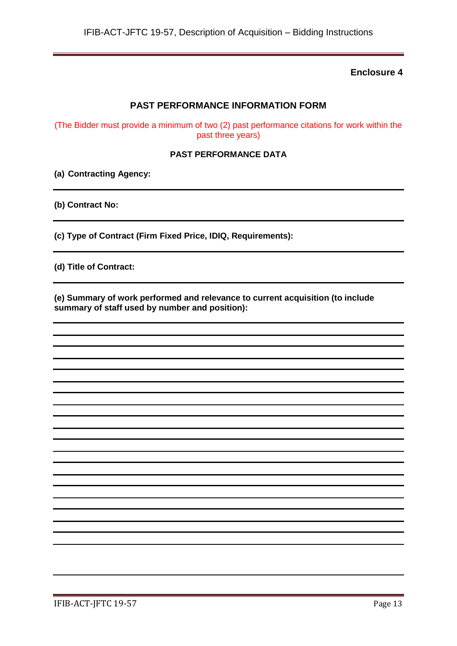## **PAST PERFORMANCE INFORMATION FORM**

(The Bidder must provide a minimum of two (2) past performance citations for work within the past three years)

#### **PAST PERFORMANCE DATA**

**(a) Contracting Agency:**

**(b) Contract No:**

**(c) Type of Contract (Firm Fixed Price, IDIQ, Requirements):**

**(d) Title of Contract:**

**(e) Summary of work performed and relevance to current acquisition (to include summary of staff used by number and position):**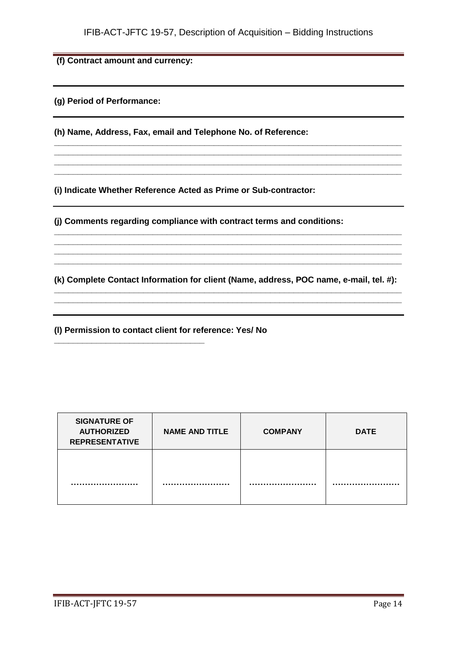**\_\_\_\_\_\_\_\_\_\_\_\_\_\_\_\_\_\_\_\_\_\_\_\_\_\_\_\_\_\_\_\_\_\_\_\_\_\_\_\_\_\_\_\_\_\_\_\_\_\_\_\_\_\_\_\_\_\_\_\_\_\_\_\_\_\_\_\_\_\_\_\_\_\_ \_\_\_\_\_\_\_\_\_\_\_\_\_\_\_\_\_\_\_\_\_\_\_\_\_\_\_\_\_\_\_\_\_\_\_\_\_\_\_\_\_\_\_\_\_\_\_\_\_\_\_\_\_\_\_\_\_\_\_\_\_\_\_\_\_\_\_\_\_\_\_\_\_\_ \_\_\_\_\_\_\_\_\_\_\_\_\_\_\_\_\_\_\_\_\_\_\_\_\_\_\_\_\_\_\_\_\_\_\_\_\_\_\_\_\_\_\_\_\_\_\_\_\_\_\_\_\_\_\_\_\_\_\_\_\_\_\_\_\_\_\_\_\_\_\_\_\_\_ \_\_\_\_\_\_\_\_\_\_\_\_\_\_\_\_\_\_\_\_\_\_\_\_\_\_\_\_\_\_\_\_\_\_\_\_\_\_\_\_\_\_\_\_\_\_\_\_\_\_\_\_\_\_\_\_\_\_\_\_\_\_\_\_\_\_\_\_\_\_\_\_\_\_**

**(f) Contract amount and currency:**

**(g) Period of Performance:**

**(h) Name, Address, Fax, email and Telephone No. of Reference:**

**(i) Indicate Whether Reference Acted as Prime or Sub-contractor:**

**(j) Comments regarding compliance with contract terms and conditions:**

**(k) Complete Contact Information for client (Name, address, POC name, e-mail, tel. #): \_\_\_\_\_\_\_\_\_\_\_\_\_\_\_\_\_\_\_\_\_\_\_\_\_\_\_\_\_\_\_\_\_\_\_\_\_\_\_\_\_\_\_\_\_\_\_\_\_\_\_\_\_\_\_\_\_\_\_\_\_\_\_\_\_\_\_\_\_\_\_\_\_\_**

**\_\_\_\_\_\_\_\_\_\_\_\_\_\_\_\_\_\_\_\_\_\_\_\_\_\_\_\_\_\_\_\_\_\_\_\_\_\_\_\_\_\_\_\_\_\_\_\_\_\_\_\_\_\_\_\_\_\_\_\_\_\_\_\_\_\_\_\_\_\_\_\_\_\_**

**\_\_\_\_\_\_\_\_\_\_\_\_\_\_\_\_\_\_\_\_\_\_\_\_\_\_\_\_\_\_\_\_\_\_\_\_\_\_\_\_\_\_\_\_\_\_\_\_\_\_\_\_\_\_\_\_\_\_\_\_\_\_\_\_\_\_\_\_\_\_\_\_\_\_ \_\_\_\_\_\_\_\_\_\_\_\_\_\_\_\_\_\_\_\_\_\_\_\_\_\_\_\_\_\_\_\_\_\_\_\_\_\_\_\_\_\_\_\_\_\_\_\_\_\_\_\_\_\_\_\_\_\_\_\_\_\_\_\_\_\_\_\_\_\_\_\_\_\_ \_\_\_\_\_\_\_\_\_\_\_\_\_\_\_\_\_\_\_\_\_\_\_\_\_\_\_\_\_\_\_\_\_\_\_\_\_\_\_\_\_\_\_\_\_\_\_\_\_\_\_\_\_\_\_\_\_\_\_\_\_\_\_\_\_\_\_\_\_\_\_\_\_\_ \_\_\_\_\_\_\_\_\_\_\_\_\_\_\_\_\_\_\_\_\_\_\_\_\_\_\_\_\_\_\_\_\_\_\_\_\_\_\_\_\_\_\_\_\_\_\_\_\_\_\_\_\_\_\_\_\_\_\_\_\_\_\_\_\_\_\_\_\_\_\_\_\_\_**

**(l) Permission to contact client for reference: Yes/ No**

**\_\_\_\_\_\_\_\_\_\_\_\_\_\_\_\_\_\_\_\_\_\_\_\_\_\_\_\_\_\_\_\_**

| <b>SIGNATURE OF</b><br><b>AUTHORIZED</b><br><b>REPRESENTATIVE</b> | <b>NAME AND TITLE</b> | <b>COMPANY</b> | <b>DATE</b> |
|-------------------------------------------------------------------|-----------------------|----------------|-------------|
|                                                                   |                       |                |             |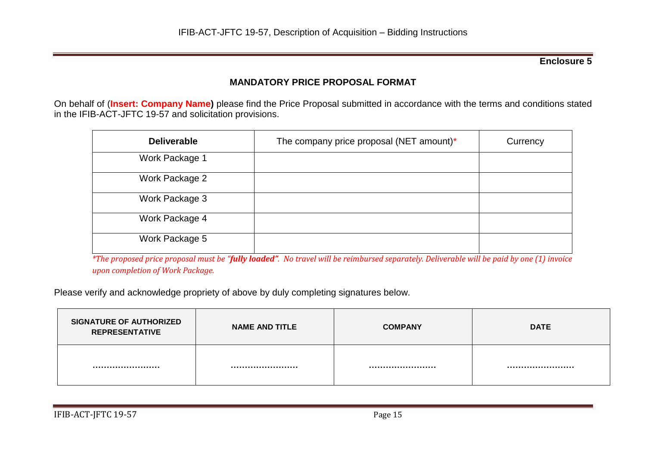# **MANDATORY PRICE PROPOSAL FORMAT**

On behalf of (**Insert: Company Name)** please find the Price Proposal submitted in accordance with the terms and conditions stated in the IFIB-ACT-JFTC 19-57 and solicitation provisions.

| <b>Deliverable</b> | The company price proposal (NET amount)* | Currency |
|--------------------|------------------------------------------|----------|
| Work Package 1     |                                          |          |
| Work Package 2     |                                          |          |
| Work Package 3     |                                          |          |
| Work Package 4     |                                          |          |
| Work Package 5     |                                          |          |

*\*The proposed price proposal must be "fully loaded". No travel will be reimbursed separately. Deliverable will be paid by one (1) invoice upon completion of Work Package.*

Please verify and acknowledge propriety of above by duly completing signatures below.

| <b>SIGNATURE OF AUTHORIZED</b><br><b>REPRESENTATIVE</b> | <b>NAME AND TITLE</b> | <b>COMPANY</b> | <b>DATE</b> |
|---------------------------------------------------------|-----------------------|----------------|-------------|
|                                                         |                       |                |             |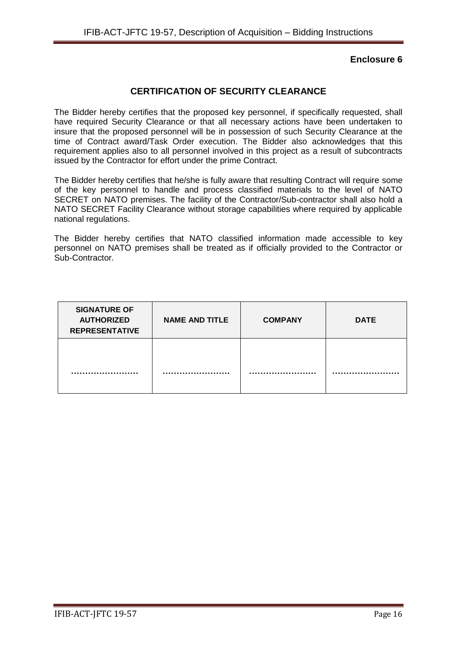## **CERTIFICATION OF SECURITY CLEARANCE**

The Bidder hereby certifies that the proposed key personnel, if specifically requested, shall have required Security Clearance or that all necessary actions have been undertaken to insure that the proposed personnel will be in possession of such Security Clearance at the time of Contract award/Task Order execution. The Bidder also acknowledges that this requirement applies also to all personnel involved in this project as a result of subcontracts issued by the Contractor for effort under the prime Contract.

The Bidder hereby certifies that he/she is fully aware that resulting Contract will require some of the key personnel to handle and process classified materials to the level of NATO SECRET on NATO premises. The facility of the Contractor/Sub-contractor shall also hold a NATO SECRET Facility Clearance without storage capabilities where required by applicable national regulations.

The Bidder hereby certifies that NATO classified information made accessible to key personnel on NATO premises shall be treated as if officially provided to the Contractor or Sub-Contractor.

| <b>SIGNATURE OF</b><br><b>AUTHORIZED</b><br><b>REPRESENTATIVE</b> | <b>NAME AND TITLE</b> | <b>COMPANY</b> | <b>DATE</b> |
|-------------------------------------------------------------------|-----------------------|----------------|-------------|
|                                                                   |                       |                |             |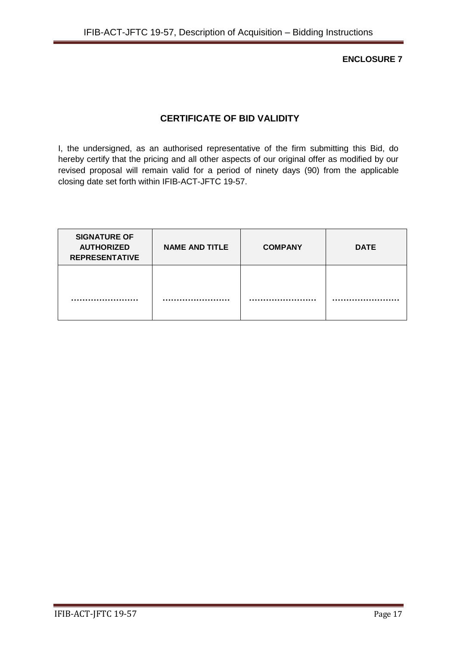**ENCLOSURE 7**

# **CERTIFICATE OF BID VALIDITY**

I, the undersigned, as an authorised representative of the firm submitting this Bid, do hereby certify that the pricing and all other aspects of our original offer as modified by our revised proposal will remain valid for a period of ninety days (90) from the applicable closing date set forth within IFIB-ACT-JFTC 19-57.

| <b>SIGNATURE OF</b><br><b>AUTHORIZED</b><br><b>REPRESENTATIVE</b> | <b>NAME AND TITLE</b> | <b>COMPANY</b> | <b>DATE</b> |
|-------------------------------------------------------------------|-----------------------|----------------|-------------|
|                                                                   |                       |                |             |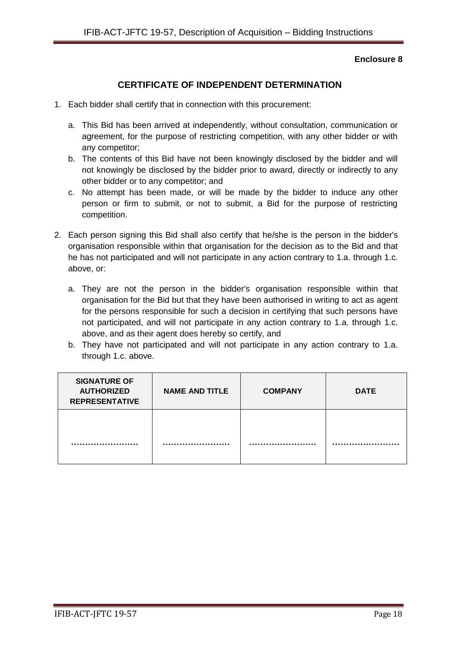# **CERTIFICATE OF INDEPENDENT DETERMINATION**

- 1. Each bidder shall certify that in connection with this procurement:
	- a. This Bid has been arrived at independently, without consultation, communication or agreement, for the purpose of restricting competition, with any other bidder or with any competitor;
	- b. The contents of this Bid have not been knowingly disclosed by the bidder and will not knowingly be disclosed by the bidder prior to award, directly or indirectly to any other bidder or to any competitor; and
	- c. No attempt has been made, or will be made by the bidder to induce any other person or firm to submit, or not to submit, a Bid for the purpose of restricting competition.
- 2. Each person signing this Bid shall also certify that he/she is the person in the bidder's organisation responsible within that organisation for the decision as to the Bid and that he has not participated and will not participate in any action contrary to 1.a. through 1.c. above, or:
	- a. They are not the person in the bidder's organisation responsible within that organisation for the Bid but that they have been authorised in writing to act as agent for the persons responsible for such a decision in certifying that such persons have not participated, and will not participate in any action contrary to 1.a. through 1.c. above, and as their agent does hereby so certify, and
	- b. They have not participated and will not participate in any action contrary to 1.a. through 1.c. above.

| <b>SIGNATURE OF</b><br><b>AUTHORIZED</b><br><b>REPRESENTATIVE</b> | <b>NAME AND TITLE</b> | <b>COMPANY</b> | <b>DATE</b> |
|-------------------------------------------------------------------|-----------------------|----------------|-------------|
|                                                                   |                       |                |             |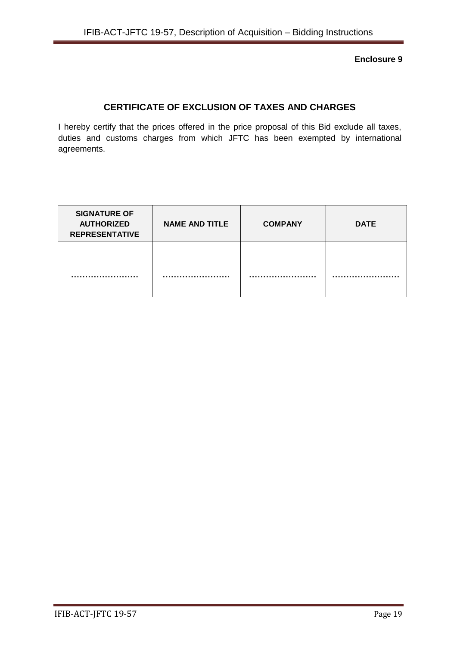# **CERTIFICATE OF EXCLUSION OF TAXES AND CHARGES**

I hereby certify that the prices offered in the price proposal of this Bid exclude all taxes, duties and customs charges from which JFTC has been exempted by international agreements.

| <b>SIGNATURE OF</b><br><b>AUTHORIZED</b><br><b>REPRESENTATIVE</b> | <b>NAME AND TITLE</b> | <b>COMPANY</b> | <b>DATE</b> |
|-------------------------------------------------------------------|-----------------------|----------------|-------------|
|                                                                   |                       |                |             |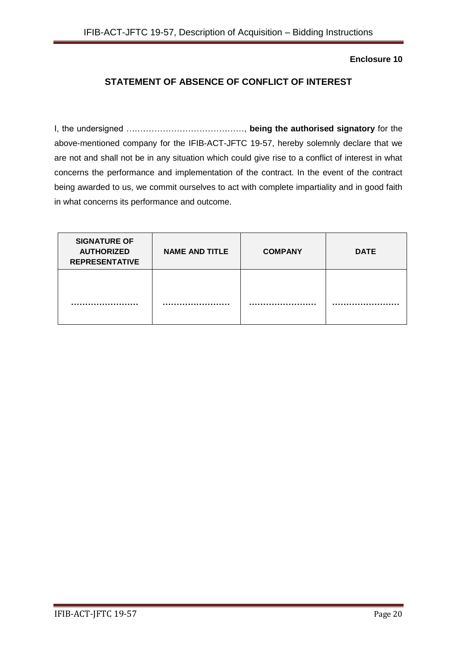# **STATEMENT OF ABSENCE OF CONFLICT OF INTEREST**

I, the undersigned ……………………………………, **being the authorised signatory** for the above-mentioned company for the IFIB-ACT-JFTC 19-57, hereby solemnly declare that we are not and shall not be in any situation which could give rise to a conflict of interest in what concerns the performance and implementation of the contract. In the event of the contract being awarded to us, we commit ourselves to act with complete impartiality and in good faith in what concerns its performance and outcome.

| <b>SIGNATURE OF</b><br><b>AUTHORIZED</b><br><b>REPRESENTATIVE</b> | <b>NAME AND TITLE</b> | <b>COMPANY</b> | <b>DATE</b> |
|-------------------------------------------------------------------|-----------------------|----------------|-------------|
|                                                                   |                       |                |             |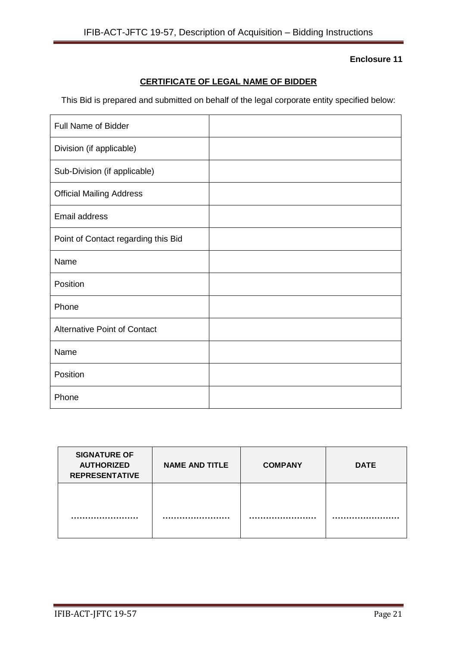# **CERTIFICATE OF LEGAL NAME OF BIDDER**

This Bid is prepared and submitted on behalf of the legal corporate entity specified below:

| <b>Full Name of Bidder</b>          |  |
|-------------------------------------|--|
| Division (if applicable)            |  |
| Sub-Division (if applicable)        |  |
| <b>Official Mailing Address</b>     |  |
| Email address                       |  |
| Point of Contact regarding this Bid |  |
| Name                                |  |
| Position                            |  |
| Phone                               |  |
| <b>Alternative Point of Contact</b> |  |
| Name                                |  |
| Position                            |  |
| Phone                               |  |

| <b>SIGNATURE OF</b><br><b>AUTHORIZED</b><br><b>REPRESENTATIVE</b> | <b>NAME AND TITLE</b> | <b>COMPANY</b> | <b>DATE</b> |
|-------------------------------------------------------------------|-----------------------|----------------|-------------|
|                                                                   |                       |                |             |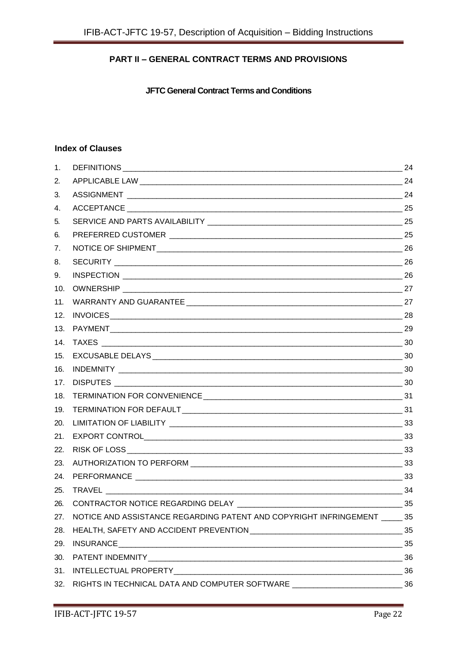# **PART II – GENERAL CONTRACT TERMS AND PROVISIONS**

**JFTC General Contract Terms and Conditions**

## **Index of Clauses**

| 1.  |                                                                                    | 24 |  |
|-----|------------------------------------------------------------------------------------|----|--|
| 2.  |                                                                                    |    |  |
| 3.  |                                                                                    |    |  |
| 4.  |                                                                                    |    |  |
| 5.  |                                                                                    |    |  |
| 6.  |                                                                                    |    |  |
| 7.  |                                                                                    |    |  |
| 8.  |                                                                                    |    |  |
| 9.  |                                                                                    |    |  |
| 10. |                                                                                    |    |  |
| 11. |                                                                                    |    |  |
| 12. |                                                                                    |    |  |
| 13. |                                                                                    |    |  |
| 14. |                                                                                    |    |  |
| 15. |                                                                                    |    |  |
| 16. |                                                                                    |    |  |
| 17. |                                                                                    |    |  |
| 18. |                                                                                    |    |  |
| 19. |                                                                                    |    |  |
| 20. |                                                                                    |    |  |
| 21. |                                                                                    |    |  |
| 22. |                                                                                    |    |  |
| 23. |                                                                                    |    |  |
| 24. |                                                                                    |    |  |
| 25. | $\frac{1}{2}$ 34                                                                   |    |  |
| 26. | CONTRACTOR NOTICE REGARDING DELAY                                                  | 35 |  |
| 27. | NOTICE AND ASSISTANCE REGARDING PATENT AND COPYRIGHT INFRINGEMENT ______ 35        |    |  |
| 28. |                                                                                    |    |  |
| 29. |                                                                                    |    |  |
| 30. |                                                                                    |    |  |
| 31. |                                                                                    |    |  |
| 32. | RIGHTS IN TECHNICAL DATA AND COMPUTER SOFTWARE _________________________________36 |    |  |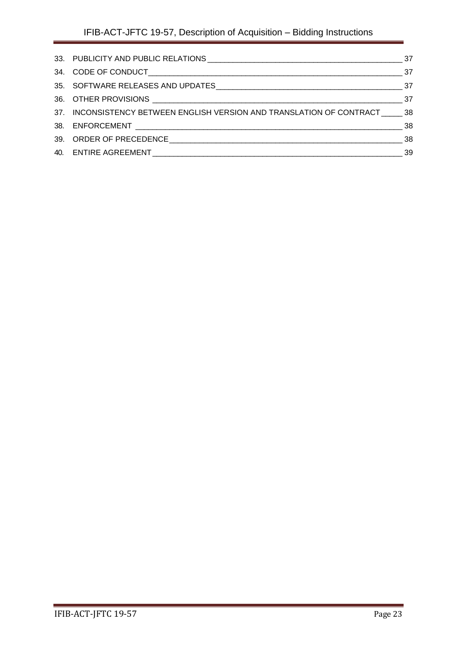<span id="page-22-0"></span>

| 37. INCONSISTENCY BETWEEN ENGLISH VERSION AND TRANSLATION OF CONTRACT 38 |  |
|--------------------------------------------------------------------------|--|
|                                                                          |  |
|                                                                          |  |
|                                                                          |  |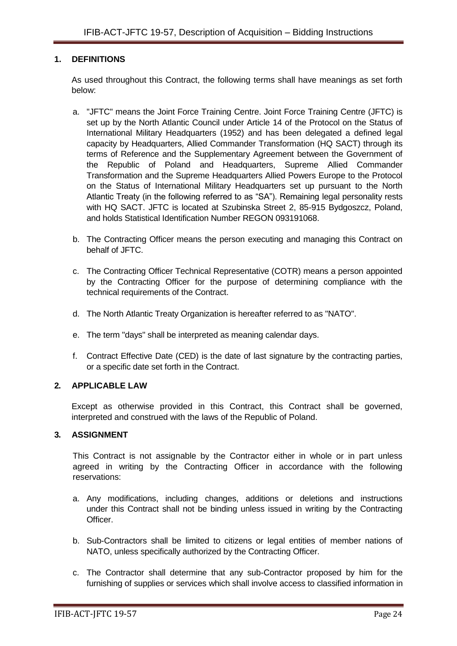#### **1. DEFINITIONS**

As used throughout this Contract, the following terms shall have meanings as set forth below:

- a. "JFTC" means the Joint Force Training Centre. Joint Force Training Centre (JFTC) is set up by the North Atlantic Council under Article 14 of the Protocol on the Status of International Military Headquarters (1952) and has been delegated a defined legal capacity by Headquarters, Allied Commander Transformation (HQ SACT) through its terms of Reference and the Supplementary Agreement between the Government of the Republic of Poland and Headquarters, Supreme Allied Commander Transformation and the Supreme Headquarters Allied Powers Europe to the Protocol on the Status of International Military Headquarters set up pursuant to the North Atlantic Treaty (in the following referred to as "SA"). Remaining legal personality rests with HQ SACT. JFTC is located at Szubinska Street 2, 85-915 Bydgoszcz, Poland, and holds Statistical Identification Number REGON 093191068.
- b. The Contracting Officer means the person executing and managing this Contract on behalf of JFTC.
- c. The Contracting Officer Technical Representative (COTR) means a person appointed by the Contracting Officer for the purpose of determining compliance with the technical requirements of the Contract.
- d. The North Atlantic Treaty Organization is hereafter referred to as "NATO".
- e. The term "days" shall be interpreted as meaning calendar days.
- f. Contract Effective Date (CED) is the date of last signature by the contracting parties, or a specific date set forth in the Contract.

#### <span id="page-23-0"></span>**2. APPLICABLE LAW**

Except as otherwise provided in this Contract, this Contract shall be governed, interpreted and construed with the laws of the Republic of Poland.

#### <span id="page-23-1"></span>**3. ASSIGNMENT**

This Contract is not assignable by the Contractor either in whole or in part unless agreed in writing by the Contracting Officer in accordance with the following reservations:

- a. Any modifications, including changes, additions or deletions and instructions under this Contract shall not be binding unless issued in writing by the Contracting Officer.
- b. Sub-Contractors shall be limited to citizens or legal entities of member nations of NATO, unless specifically authorized by the Contracting Officer.
- c. The Contractor shall determine that any sub-Contractor proposed by him for the furnishing of supplies or services which shall involve access to classified information in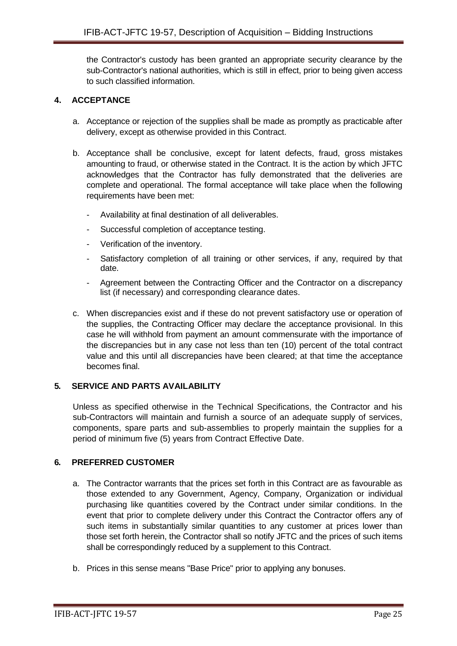the Contractor's custody has been granted an appropriate security clearance by the sub-Contractor's national authorities, which is still in effect, prior to being given access to such classified information.

## <span id="page-24-0"></span>**4. ACCEPTANCE**

- a. Acceptance or rejection of the supplies shall be made as promptly as practicable after delivery, except as otherwise provided in this Contract.
- b. Acceptance shall be conclusive, except for latent defects, fraud, gross mistakes amounting to fraud, or otherwise stated in the Contract. It is the action by which JFTC acknowledges that the Contractor has fully demonstrated that the deliveries are complete and operational. The formal acceptance will take place when the following requirements have been met:
	- Availability at final destination of all deliverables.
	- Successful completion of acceptance testing.
	- Verification of the inventory.
	- Satisfactory completion of all training or other services, if any, required by that date.
	- Agreement between the Contracting Officer and the Contractor on a discrepancy list (if necessary) and corresponding clearance dates.
- c. When discrepancies exist and if these do not prevent satisfactory use or operation of the supplies, the Contracting Officer may declare the acceptance provisional. In this case he will withhold from payment an amount commensurate with the importance of the discrepancies but in any case not less than ten (10) percent of the total contract value and this until all discrepancies have been cleared; at that time the acceptance becomes final.

#### <span id="page-24-1"></span>**5. SERVICE AND PARTS AVAILABILITY**

Unless as specified otherwise in the Technical Specifications, the Contractor and his sub-Contractors will maintain and furnish a source of an adequate supply of services, components, spare parts and sub-assemblies to properly maintain the supplies for a period of minimum five (5) years from Contract Effective Date.

#### <span id="page-24-2"></span>**6. PREFERRED CUSTOMER**

- a. The Contractor warrants that the prices set forth in this Contract are as favourable as those extended to any Government, Agency, Company, Organization or individual purchasing like quantities covered by the Contract under similar conditions. In the event that prior to complete delivery under this Contract the Contractor offers any of such items in substantially similar quantities to any customer at prices lower than those set forth herein, the Contractor shall so notify JFTC and the prices of such items shall be correspondingly reduced by a supplement to this Contract.
- b. Prices in this sense means "Base Price" prior to applying any bonuses.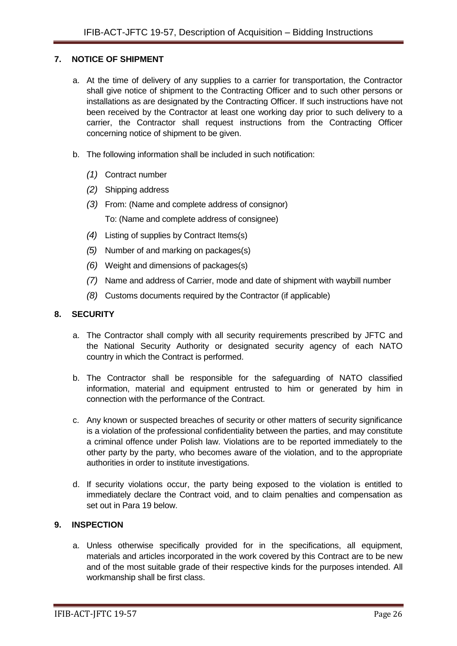#### <span id="page-25-0"></span>**7. NOTICE OF SHIPMENT**

- a. At the time of delivery of any supplies to a carrier for transportation, the Contractor shall give notice of shipment to the Contracting Officer and to such other persons or installations as are designated by the Contracting Officer. If such instructions have not been received by the Contractor at least one working day prior to such delivery to a carrier, the Contractor shall request instructions from the Contracting Officer concerning notice of shipment to be given.
- b. The following information shall be included in such notification:
	- *(1)* Contract number
	- *(2)* Shipping address
	- *(3)* From: (Name and complete address of consignor) To: (Name and complete address of consignee)
	- *(4)* Listing of supplies by Contract Items(s)
	- *(5)* Number of and marking on packages(s)
	- *(6)* Weight and dimensions of packages(s)
	- *(7)* Name and address of Carrier, mode and date of shipment with waybill number
	- *(8)* Customs documents required by the Contractor (if applicable)

#### <span id="page-25-1"></span>**8. SECURITY**

- a. The Contractor shall comply with all security requirements prescribed by JFTC and the National Security Authority or designated security agency of each NATO country in which the Contract is performed.
- b. The Contractor shall be responsible for the safeguarding of NATO classified information, material and equipment entrusted to him or generated by him in connection with the performance of the Contract.
- c. Any known or suspected breaches of security or other matters of security significance is a violation of the professional confidentiality between the parties, and may constitute a criminal offence under Polish law. Violations are to be reported immediately to the other party by the party, who becomes aware of the violation, and to the appropriate authorities in order to institute investigations.
- d. If security violations occur, the party being exposed to the violation is entitled to immediately declare the Contract void, and to claim penalties and compensation as set out in Para 19 below.

## <span id="page-25-2"></span>**9. INSPECTION**

a. Unless otherwise specifically provided for in the specifications, all equipment, materials and articles incorporated in the work covered by this Contract are to be new and of the most suitable grade of their respective kinds for the purposes intended. All workmanship shall be first class.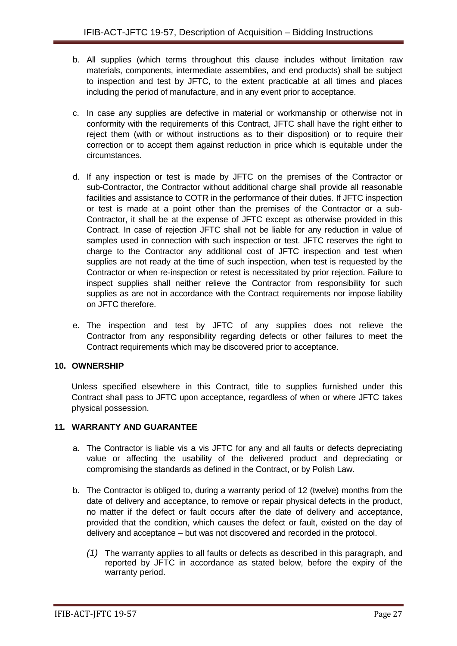- b. All supplies (which terms throughout this clause includes without limitation raw materials, components, intermediate assemblies, and end products) shall be subject to inspection and test by JFTC, to the extent practicable at all times and places including the period of manufacture, and in any event prior to acceptance.
- c. In case any supplies are defective in material or workmanship or otherwise not in conformity with the requirements of this Contract, JFTC shall have the right either to reject them (with or without instructions as to their disposition) or to require their correction or to accept them against reduction in price which is equitable under the circumstances.
- d. If any inspection or test is made by JFTC on the premises of the Contractor or sub-Contractor, the Contractor without additional charge shall provide all reasonable facilities and assistance to COTR in the performance of their duties. If JFTC inspection or test is made at a point other than the premises of the Contractor or a sub-Contractor, it shall be at the expense of JFTC except as otherwise provided in this Contract. In case of rejection JFTC shall not be liable for any reduction in value of samples used in connection with such inspection or test. JFTC reserves the right to charge to the Contractor any additional cost of JFTC inspection and test when supplies are not ready at the time of such inspection, when test is requested by the Contractor or when re-inspection or retest is necessitated by prior rejection. Failure to inspect supplies shall neither relieve the Contractor from responsibility for such supplies as are not in accordance with the Contract requirements nor impose liability on JFTC therefore.
- e. The inspection and test by JFTC of any supplies does not relieve the Contractor from any responsibility regarding defects or other failures to meet the Contract requirements which may be discovered prior to acceptance.

## <span id="page-26-0"></span>**10. OWNERSHIP**

Unless specified elsewhere in this Contract, title to supplies furnished under this Contract shall pass to JFTC upon acceptance, regardless of when or where JFTC takes physical possession.

#### <span id="page-26-1"></span>**11. WARRANTY AND GUARANTEE**

- a. The Contractor is liable vis a vis JFTC for any and all faults or defects depreciating value or affecting the usability of the delivered product and depreciating or compromising the standards as defined in the Contract, or by Polish Law.
- b. The Contractor is obliged to, during a warranty period of 12 (twelve) months from the date of delivery and acceptance, to remove or repair physical defects in the product, no matter if the defect or fault occurs after the date of delivery and acceptance, provided that the condition, which causes the defect or fault, existed on the day of delivery and acceptance – but was not discovered and recorded in the protocol.
	- *(1)* The warranty applies to all faults or defects as described in this paragraph, and reported by JFTC in accordance as stated below, before the expiry of the warranty period.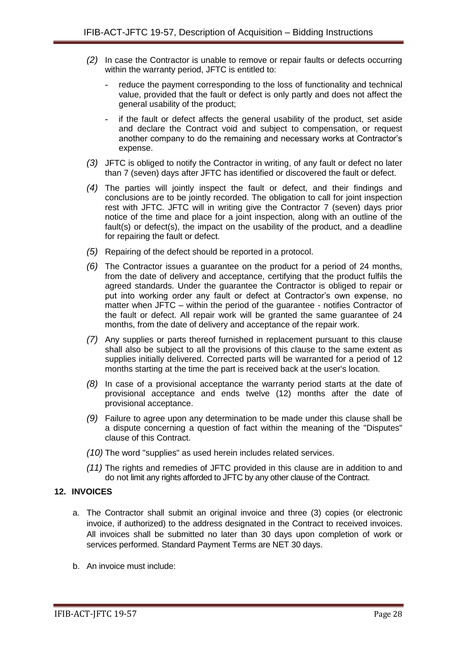- *(2)* In case the Contractor is unable to remove or repair faults or defects occurring within the warranty period, JFTC is entitled to:
	- reduce the payment corresponding to the loss of functionality and technical value, provided that the fault or defect is only partly and does not affect the general usability of the product;
	- if the fault or defect affects the general usability of the product, set aside and declare the Contract void and subject to compensation, or request another company to do the remaining and necessary works at Contractor's expense.
- *(3)* JFTC is obliged to notify the Contractor in writing, of any fault or defect no later than 7 (seven) days after JFTC has identified or discovered the fault or defect.
- *(4)* The parties will jointly inspect the fault or defect, and their findings and conclusions are to be jointly recorded. The obligation to call for joint inspection rest with JFTC. JFTC will in writing give the Contractor 7 (seven) days prior notice of the time and place for a joint inspection, along with an outline of the fault(s) or defect(s), the impact on the usability of the product, and a deadline for repairing the fault or defect.
- *(5)* Repairing of the defect should be reported in a protocol.
- *(6)* The Contractor issues a guarantee on the product for a period of 24 months, from the date of delivery and acceptance, certifying that the product fulfils the agreed standards. Under the guarantee the Contractor is obliged to repair or put into working order any fault or defect at Contractor's own expense, no matter when JFTC – within the period of the guarantee - notifies Contractor of the fault or defect. All repair work will be granted the same guarantee of 24 months, from the date of delivery and acceptance of the repair work.
- *(7)* Any supplies or parts thereof furnished in replacement pursuant to this clause shall also be subject to all the provisions of this clause to the same extent as supplies initially delivered. Corrected parts will be warranted for a period of 12 months starting at the time the part is received back at the user's location.
- *(8)* In case of a provisional acceptance the warranty period starts at the date of provisional acceptance and ends twelve (12) months after the date of provisional acceptance.
- *(9)* Failure to agree upon any determination to be made under this clause shall be a dispute concerning a question of fact within the meaning of the "Disputes" clause of this Contract.
- *(10)* The word "supplies" as used herein includes related services.
- *(11)* The rights and remedies of JFTC provided in this clause are in addition to and do not limit any rights afforded to JFTC by any other clause of the Contract.

#### <span id="page-27-0"></span>**12. INVOICES**

- a. The Contractor shall submit an original invoice and three (3) copies (or electronic invoice, if authorized) to the address designated in the Contract to received invoices. All invoices shall be submitted no later than 30 days upon completion of work or services performed. Standard Payment Terms are NET 30 days.
- b. An invoice must include: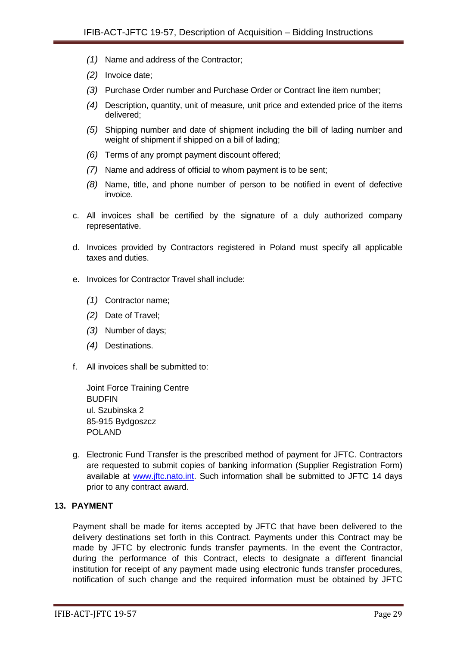- *(1)* Name and address of the Contractor;
- *(2)* Invoice date;
- *(3)* Purchase Order number and Purchase Order or Contract line item number;
- *(4)* Description, quantity, unit of measure, unit price and extended price of the items delivered;
- *(5)* Shipping number and date of shipment including the bill of lading number and weight of shipment if shipped on a bill of lading;
- *(6)* Terms of any prompt payment discount offered;
- *(7)* Name and address of official to whom payment is to be sent;
- *(8)* Name, title, and phone number of person to be notified in event of defective invoice.
- c. All invoices shall be certified by the signature of a duly authorized company representative.
- d. Invoices provided by Contractors registered in Poland must specify all applicable taxes and duties.
- e. Invoices for Contractor Travel shall include:
	- *(1)* Contractor name;
	- *(2)* Date of Travel;
	- *(3)* Number of days;
	- *(4)* Destinations.
- f. All invoices shall be submitted to:

Joint Force Training Centre **BUDFIN** ul. Szubinska 2 85-915 Bydgoszcz POLAND

g. Electronic Fund Transfer is the prescribed method of payment for JFTC. Contractors are requested to submit copies of banking information (Supplier Registration Form) available at [www.jftc.nato.int.](http://www.jftc.nato.int/) Such information shall be submitted to JFTC 14 days prior to any contract award.

#### <span id="page-28-0"></span>**13. PAYMENT**

Payment shall be made for items accepted by JFTC that have been delivered to the delivery destinations set forth in this Contract. Payments under this Contract may be made by JFTC by electronic funds transfer payments. In the event the Contractor, during the performance of this Contract, elects to designate a different financial institution for receipt of any payment made using electronic funds transfer procedures, notification of such change and the required information must be obtained by JFTC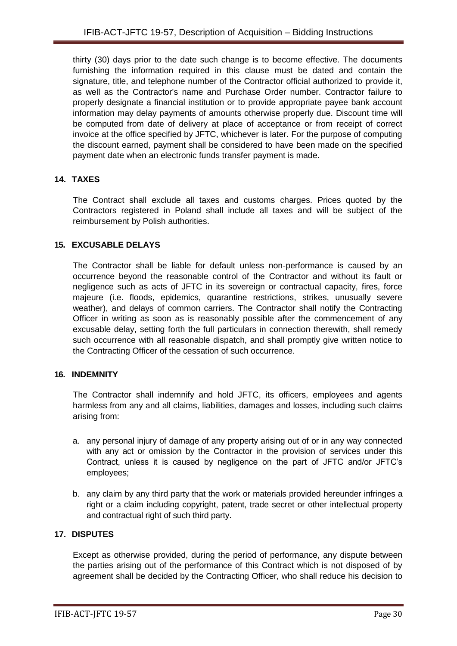thirty (30) days prior to the date such change is to become effective. The documents furnishing the information required in this clause must be dated and contain the signature, title, and telephone number of the Contractor official authorized to provide it, as well as the Contractor's name and Purchase Order number. Contractor failure to properly designate a financial institution or to provide appropriate payee bank account information may delay payments of amounts otherwise properly due. Discount time will be computed from date of delivery at place of acceptance or from receipt of correct invoice at the office specified by JFTC, whichever is later. For the purpose of computing the discount earned, payment shall be considered to have been made on the specified payment date when an electronic funds transfer payment is made.

## <span id="page-29-0"></span>**14. TAXES**

The Contract shall exclude all taxes and customs charges. Prices quoted by the Contractors registered in Poland shall include all taxes and will be subject of the reimbursement by Polish authorities.

## <span id="page-29-1"></span>**15. EXCUSABLE DELAYS**

The Contractor shall be liable for default unless non-performance is caused by an occurrence beyond the reasonable control of the Contractor and without its fault or negligence such as acts of JFTC in its sovereign or contractual capacity, fires, force majeure (i.e. floods, epidemics, quarantine restrictions, strikes, unusually severe weather), and delays of common carriers. The Contractor shall notify the Contracting Officer in writing as soon as is reasonably possible after the commencement of any excusable delay, setting forth the full particulars in connection therewith, shall remedy such occurrence with all reasonable dispatch, and shall promptly give written notice to the Contracting Officer of the cessation of such occurrence.

#### <span id="page-29-2"></span>**16. INDEMNITY**

The Contractor shall indemnify and hold JFTC, its officers, employees and agents harmless from any and all claims, liabilities, damages and losses, including such claims arising from:

- a. any personal injury of damage of any property arising out of or in any way connected with any act or omission by the Contractor in the provision of services under this Contract, unless it is caused by negligence on the part of JFTC and/or JFTC's employees;
- b. any claim by any third party that the work or materials provided hereunder infringes a right or a claim including copyright, patent, trade secret or other intellectual property and contractual right of such third party.

## <span id="page-29-3"></span>**17. DISPUTES**

Except as otherwise provided, during the period of performance, any dispute between the parties arising out of the performance of this Contract which is not disposed of by agreement shall be decided by the Contracting Officer, who shall reduce his decision to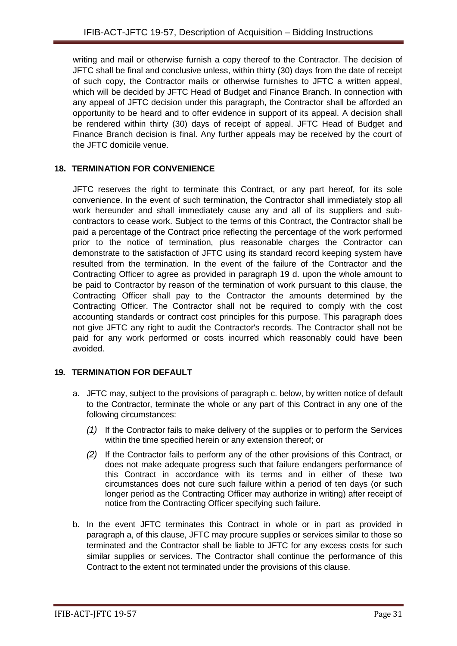writing and mail or otherwise furnish a copy thereof to the Contractor. The decision of JFTC shall be final and conclusive unless, within thirty (30) days from the date of receipt of such copy, the Contractor mails or otherwise furnishes to JFTC a written appeal, which will be decided by JFTC Head of Budget and Finance Branch. In connection with any appeal of JFTC decision under this paragraph, the Contractor shall be afforded an opportunity to be heard and to offer evidence in support of its appeal. A decision shall be rendered within thirty (30) days of receipt of appeal. JFTC Head of Budget and Finance Branch decision is final. Any further appeals may be received by the court of the JFTC domicile venue.

## <span id="page-30-0"></span>**18. TERMINATION FOR CONVENIENCE**

JFTC reserves the right to terminate this Contract, or any part hereof, for its sole convenience. In the event of such termination, the Contractor shall immediately stop all work hereunder and shall immediately cause any and all of its suppliers and subcontractors to cease work. Subject to the terms of this Contract, the Contractor shall be paid a percentage of the Contract price reflecting the percentage of the work performed prior to the notice of termination, plus reasonable charges the Contractor can demonstrate to the satisfaction of JFTC using its standard record keeping system have resulted from the termination. In the event of the failure of the Contractor and the Contracting Officer to agree as provided in paragraph 19 d. upon the whole amount to be paid to Contractor by reason of the termination of work pursuant to this clause, the Contracting Officer shall pay to the Contractor the amounts determined by the Contracting Officer. The Contractor shall not be required to comply with the cost accounting standards or contract cost principles for this purpose. This paragraph does not give JFTC any right to audit the Contractor's records. The Contractor shall not be paid for any work performed or costs incurred which reasonably could have been avoided.

## <span id="page-30-1"></span>**19. TERMINATION FOR DEFAULT**

- a. JFTC may, subject to the provisions of paragraph c. below, by written notice of default to the Contractor, terminate the whole or any part of this Contract in any one of the following circumstances:
	- *(1)* If the Contractor fails to make delivery of the supplies or to perform the Services within the time specified herein or any extension thereof; or
	- *(2)* If the Contractor fails to perform any of the other provisions of this Contract, or does not make adequate progress such that failure endangers performance of this Contract in accordance with its terms and in either of these two circumstances does not cure such failure within a period of ten days (or such longer period as the Contracting Officer may authorize in writing) after receipt of notice from the Contracting Officer specifying such failure.
- b. In the event JFTC terminates this Contract in whole or in part as provided in paragraph a, of this clause, JFTC may procure supplies or services similar to those so terminated and the Contractor shall be liable to JFTC for any excess costs for such similar supplies or services. The Contractor shall continue the performance of this Contract to the extent not terminated under the provisions of this clause.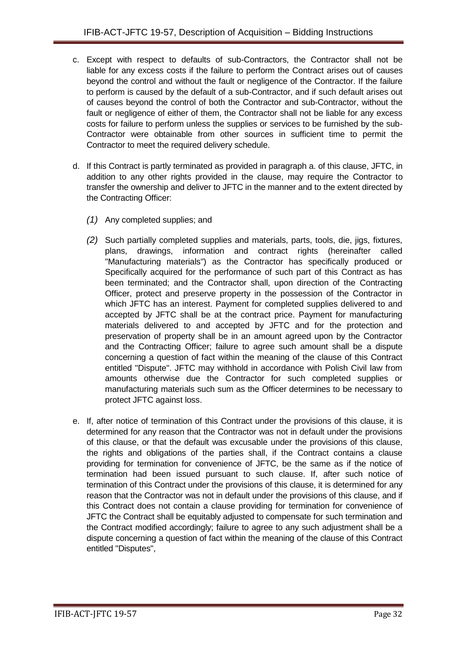- c. Except with respect to defaults of sub-Contractors, the Contractor shall not be liable for any excess costs if the failure to perform the Contract arises out of causes beyond the control and without the fault or negligence of the Contractor. If the failure to perform is caused by the default of a sub-Contractor, and if such default arises out of causes beyond the control of both the Contractor and sub-Contractor, without the fault or negligence of either of them, the Contractor shall not be liable for any excess costs for failure to perform unless the supplies or services to be furnished by the sub-Contractor were obtainable from other sources in sufficient time to permit the Contractor to meet the required delivery schedule.
- d. If this Contract is partly terminated as provided in paragraph a. of this clause, JFTC, in addition to any other rights provided in the clause, may require the Contractor to transfer the ownership and deliver to JFTC in the manner and to the extent directed by the Contracting Officer:
	- *(1)* Any completed supplies; and
	- *(2)* Such partially completed supplies and materials, parts, tools, die, jigs, fixtures, plans, drawings, information and contract rights (hereinafter called "Manufacturing materials") as the Contractor has specifically produced or Specifically acquired for the performance of such part of this Contract as has been terminated; and the Contractor shall, upon direction of the Contracting Officer, protect and preserve property in the possession of the Contractor in which JFTC has an interest. Payment for completed supplies delivered to and accepted by JFTC shall be at the contract price. Payment for manufacturing materials delivered to and accepted by JFTC and for the protection and preservation of property shall be in an amount agreed upon by the Contractor and the Contracting Officer; failure to agree such amount shall be a dispute concerning a question of fact within the meaning of the clause of this Contract entitled "Dispute". JFTC may withhold in accordance with Polish Civil law from amounts otherwise due the Contractor for such completed supplies or manufacturing materials such sum as the Officer determines to be necessary to protect JFTC against loss.
- e. If, after notice of termination of this Contract under the provisions of this clause, it is determined for any reason that the Contractor was not in default under the provisions of this clause, or that the default was excusable under the provisions of this clause, the rights and obligations of the parties shall, if the Contract contains a clause providing for termination for convenience of JFTC, be the same as if the notice of termination had been issued pursuant to such clause. If, after such notice of termination of this Contract under the provisions of this clause, it is determined for any reason that the Contractor was not in default under the provisions of this clause, and if this Contract does not contain a clause providing for termination for convenience of JFTC the Contract shall be equitably adjusted to compensate for such termination and the Contract modified accordingly; failure to agree to any such adjustment shall be a dispute concerning a question of fact within the meaning of the clause of this Contract entitled "Disputes",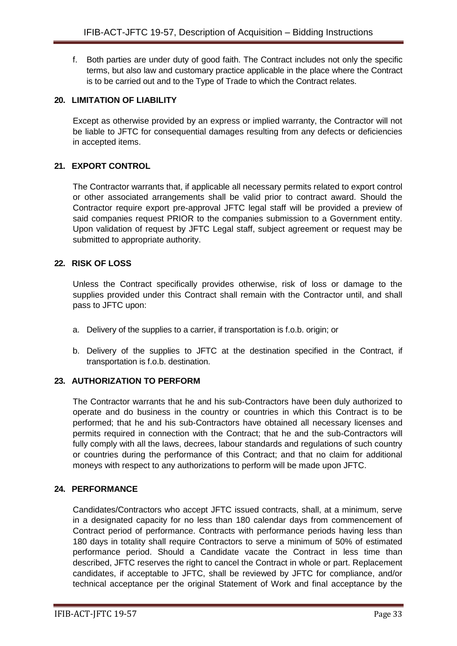f. Both parties are under duty of good faith. The Contract includes not only the specific terms, but also law and customary practice applicable in the place where the Contract is to be carried out and to the Type of Trade to which the Contract relates.

#### <span id="page-32-0"></span>**20. LIMITATION OF LIABILITY**

Except as otherwise provided by an express or implied warranty, the Contractor will not be liable to JFTC for consequential damages resulting from any defects or deficiencies in accepted items.

## <span id="page-32-1"></span>**21. EXPORT CONTROL**

The Contractor warrants that, if applicable all necessary permits related to export control or other associated arrangements shall be valid prior to contract award. Should the Contractor require export pre-approval JFTC legal staff will be provided a preview of said companies request PRIOR to the companies submission to a Government entity. Upon validation of request by JFTC Legal staff, subject agreement or request may be submitted to appropriate authority.

#### <span id="page-32-2"></span>**22. RISK OF LOSS**

Unless the Contract specifically provides otherwise, risk of loss or damage to the supplies provided under this Contract shall remain with the Contractor until, and shall pass to JFTC upon:

- a. Delivery of the supplies to a carrier, if transportation is f.o.b. origin; or
- b. Delivery of the supplies to JFTC at the destination specified in the Contract, if transportation is f.o.b. destination.

#### <span id="page-32-3"></span>**23. AUTHORIZATION TO PERFORM**

The Contractor warrants that he and his sub-Contractors have been duly authorized to operate and do business in the country or countries in which this Contract is to be performed; that he and his sub-Contractors have obtained all necessary licenses and permits required in connection with the Contract; that he and the sub-Contractors will fully comply with all the laws, decrees, labour standards and regulations of such country or countries during the performance of this Contract; and that no claim for additional moneys with respect to any authorizations to perform will be made upon JFTC.

#### <span id="page-32-4"></span>**24. PERFORMANCE**

Candidates/Contractors who accept JFTC issued contracts, shall, at a minimum, serve in a designated capacity for no less than 180 calendar days from commencement of Contract period of performance. Contracts with performance periods having less than 180 days in totality shall require Contractors to serve a minimum of 50% of estimated performance period. Should a Candidate vacate the Contract in less time than described, JFTC reserves the right to cancel the Contract in whole or part. Replacement candidates, if acceptable to JFTC, shall be reviewed by JFTC for compliance, and/or technical acceptance per the original Statement of Work and final acceptance by the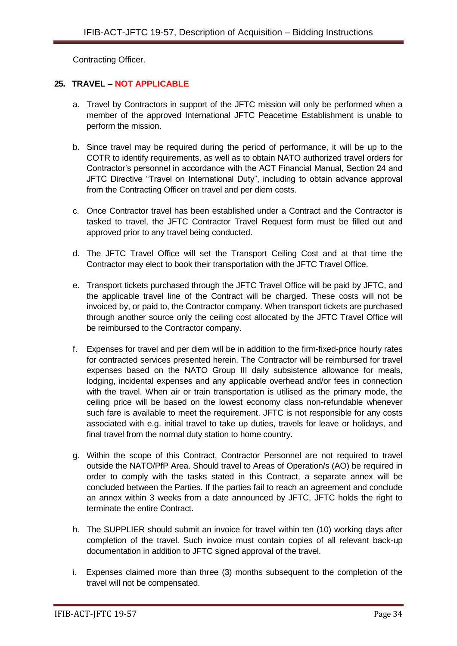Contracting Officer.

## <span id="page-33-0"></span>**25. TRAVEL – NOT APPLICABLE**

- a. Travel by Contractors in support of the JFTC mission will only be performed when a member of the approved International JFTC Peacetime Establishment is unable to perform the mission.
- b. Since travel may be required during the period of performance, it will be up to the COTR to identify requirements, as well as to obtain NATO authorized travel orders for Contractor's personnel in accordance with the ACT Financial Manual, Section 24 and JFTC Directive "Travel on International Duty", including to obtain advance approval from the Contracting Officer on travel and per diem costs.
- c. Once Contractor travel has been established under a Contract and the Contractor is tasked to travel, the JFTC Contractor Travel Request form must be filled out and approved prior to any travel being conducted.
- d. The JFTC Travel Office will set the Transport Ceiling Cost and at that time the Contractor may elect to book their transportation with the JFTC Travel Office.
- e. Transport tickets purchased through the JFTC Travel Office will be paid by JFTC, and the applicable travel line of the Contract will be charged. These costs will not be invoiced by, or paid to, the Contractor company. When transport tickets are purchased through another source only the ceiling cost allocated by the JFTC Travel Office will be reimbursed to the Contractor company.
- f. Expenses for travel and per diem will be in addition to the firm-fixed-price hourly rates for contracted services presented herein. The Contractor will be reimbursed for travel expenses based on the NATO Group III daily subsistence allowance for meals, lodging, incidental expenses and any applicable overhead and/or fees in connection with the travel. When air or train transportation is utilised as the primary mode, the ceiling price will be based on the lowest economy class non-refundable whenever such fare is available to meet the requirement. JFTC is not responsible for any costs associated with e.g. initial travel to take up duties, travels for leave or holidays, and final travel from the normal duty station to home country.
- g. Within the scope of this Contract, Contractor Personnel are not required to travel outside the NATO/PfP Area. Should travel to Areas of Operation/s (AO) be required in order to comply with the tasks stated in this Contract, a separate annex will be concluded between the Parties. If the parties fail to reach an agreement and conclude an annex within 3 weeks from a date announced by JFTC, JFTC holds the right to terminate the entire Contract.
- h. The SUPPLIER should submit an invoice for travel within ten (10) working days after completion of the travel. Such invoice must contain copies of all relevant back-up documentation in addition to JFTC signed approval of the travel.
- i. Expenses claimed more than three (3) months subsequent to the completion of the travel will not be compensated.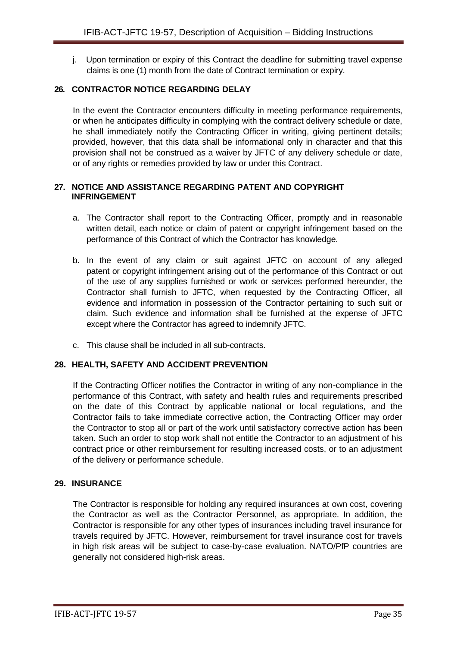j. Upon termination or expiry of this Contract the deadline for submitting travel expense claims is one (1) month from the date of Contract termination or expiry.

## <span id="page-34-0"></span>**26. CONTRACTOR NOTICE REGARDING DELAY**

In the event the Contractor encounters difficulty in meeting performance requirements, or when he anticipates difficulty in complying with the contract delivery schedule or date, he shall immediately notify the Contracting Officer in writing, giving pertinent details; provided, however, that this data shall be informational only in character and that this provision shall not be construed as a waiver by JFTC of any delivery schedule or date, or of any rights or remedies provided by law or under this Contract.

#### <span id="page-34-1"></span>**27. NOTICE AND ASSISTANCE REGARDING PATENT AND COPYRIGHT INFRINGEMENT**

- a. The Contractor shall report to the Contracting Officer, promptly and in reasonable written detail, each notice or claim of patent or copyright infringement based on the performance of this Contract of which the Contractor has knowledge.
- b. In the event of any claim or suit against JFTC on account of any alleged patent or copyright infringement arising out of the performance of this Contract or out of the use of any supplies furnished or work or services performed hereunder, the Contractor shall furnish to JFTC, when requested by the Contracting Officer, all evidence and information in possession of the Contractor pertaining to such suit or claim. Such evidence and information shall be furnished at the expense of JFTC except where the Contractor has agreed to indemnify JFTC.
- c. This clause shall be included in all sub-contracts.

## <span id="page-34-2"></span>**28. HEALTH, SAFETY AND ACCIDENT PREVENTION**

If the Contracting Officer notifies the Contractor in writing of any non-compliance in the performance of this Contract, with safety and health rules and requirements prescribed on the date of this Contract by applicable national or local regulations, and the Contractor fails to take immediate corrective action, the Contracting Officer may order the Contractor to stop all or part of the work until satisfactory corrective action has been taken. Such an order to stop work shall not entitle the Contractor to an adjustment of his contract price or other reimbursement for resulting increased costs, or to an adjustment of the delivery or performance schedule.

#### <span id="page-34-3"></span>**29. INSURANCE**

The Contractor is responsible for holding any required insurances at own cost, covering the Contractor as well as the Contractor Personnel, as appropriate. In addition, the Contractor is responsible for any other types of insurances including travel insurance for travels required by JFTC. However, reimbursement for travel insurance cost for travels in high risk areas will be subject to case-by-case evaluation. NATO/PfP countries are generally not considered high-risk areas.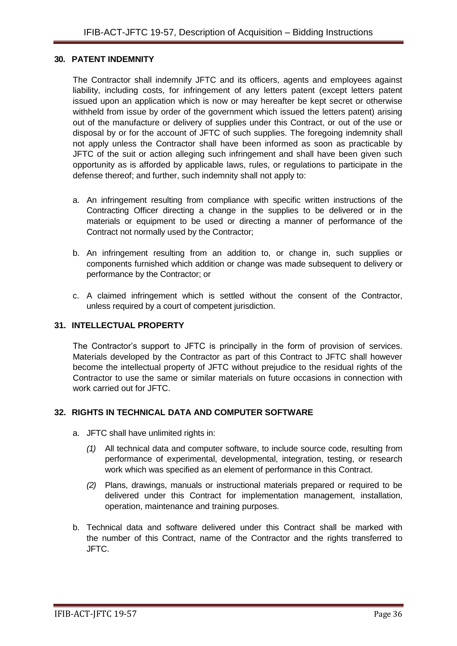#### <span id="page-35-0"></span>**30. PATENT INDEMNITY**

The Contractor shall indemnify JFTC and its officers, agents and employees against liability, including costs, for infringement of any letters patent (except letters patent issued upon an application which is now or may hereafter be kept secret or otherwise withheld from issue by order of the government which issued the letters patent) arising out of the manufacture or delivery of supplies under this Contract, or out of the use or disposal by or for the account of JFTC of such supplies. The foregoing indemnity shall not apply unless the Contractor shall have been informed as soon as practicable by JFTC of the suit or action alleging such infringement and shall have been given such opportunity as is afforded by applicable laws, rules, or regulations to participate in the defense thereof; and further, such indemnity shall not apply to:

- a. An infringement resulting from compliance with specific written instructions of the Contracting Officer directing a change in the supplies to be delivered or in the materials or equipment to be used or directing a manner of performance of the Contract not normally used by the Contractor;
- b. An infringement resulting from an addition to, or change in, such supplies or components furnished which addition or change was made subsequent to delivery or performance by the Contractor; or
- c. A claimed infringement which is settled without the consent of the Contractor, unless required by a court of competent jurisdiction.

#### <span id="page-35-1"></span>**31. INTELLECTUAL PROPERTY**

The Contractor's support to JFTC is principally in the form of provision of services. Materials developed by the Contractor as part of this Contract to JFTC shall however become the intellectual property of JFTC without prejudice to the residual rights of the Contractor to use the same or similar materials on future occasions in connection with work carried out for JFTC.

#### <span id="page-35-2"></span>**32. RIGHTS IN TECHNICAL DATA AND COMPUTER SOFTWARE**

- a. JFTC shall have unlimited rights in:
	- *(1)* All technical data and computer software, to include source code, resulting from performance of experimental, developmental, integration, testing, or research work which was specified as an element of performance in this Contract.
	- *(2)* Plans, drawings, manuals or instructional materials prepared or required to be delivered under this Contract for implementation management, installation, operation, maintenance and training purposes.
- b. Technical data and software delivered under this Contract shall be marked with the number of this Contract, name of the Contractor and the rights transferred to JFTC.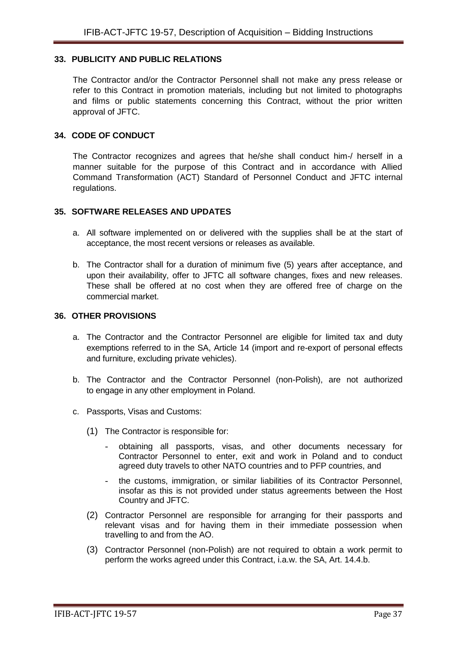## <span id="page-36-0"></span>**33. PUBLICITY AND PUBLIC RELATIONS**

The Contractor and/or the Contractor Personnel shall not make any press release or refer to this Contract in promotion materials, including but not limited to photographs and films or public statements concerning this Contract, without the prior written approval of JFTC.

#### <span id="page-36-1"></span>**34. CODE OF CONDUCT**

The Contractor recognizes and agrees that he/she shall conduct him-/ herself in a manner suitable for the purpose of this Contract and in accordance with Allied Command Transformation (ACT) Standard of Personnel Conduct and JFTC internal regulations.

#### <span id="page-36-2"></span>**35. SOFTWARE RELEASES AND UPDATES**

- a. All software implemented on or delivered with the supplies shall be at the start of acceptance, the most recent versions or releases as available.
- b. The Contractor shall for a duration of minimum five (5) years after acceptance, and upon their availability, offer to JFTC all software changes, fixes and new releases. These shall be offered at no cost when they are offered free of charge on the commercial market.

#### <span id="page-36-3"></span>**36. OTHER PROVISIONS**

- a. The Contractor and the Contractor Personnel are eligible for limited tax and duty exemptions referred to in the SA, Article 14 (import and re-export of personal effects and furniture, excluding private vehicles).
- b. The Contractor and the Contractor Personnel (non-Polish), are not authorized to engage in any other employment in Poland.
- c. Passports, Visas and Customs:
	- (1) The Contractor is responsible for:
		- obtaining all passports, visas, and other documents necessary for Contractor Personnel to enter, exit and work in Poland and to conduct agreed duty travels to other NATO countries and to PFP countries, and
		- the customs, immigration, or similar liabilities of its Contractor Personnel, insofar as this is not provided under status agreements between the Host Country and JFTC.
	- (2) Contractor Personnel are responsible for arranging for their passports and relevant visas and for having them in their immediate possession when travelling to and from the AO.
	- (3) Contractor Personnel (non-Polish) are not required to obtain a work permit to perform the works agreed under this Contract, i.a.w. the SA, Art. 14.4.b.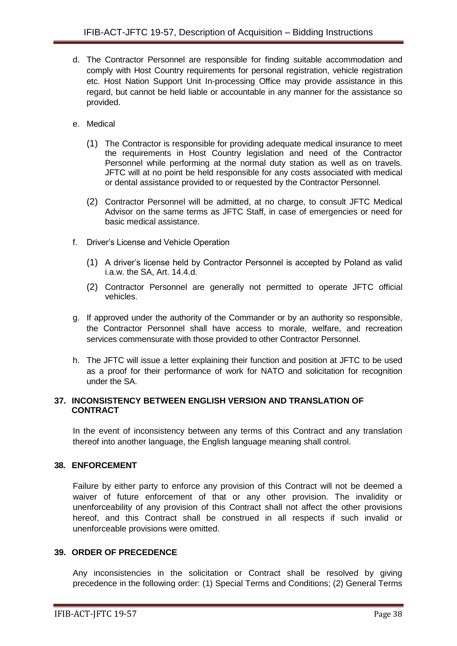- d. The Contractor Personnel are responsible for finding suitable accommodation and comply with Host Country requirements for personal registration, vehicle registration etc. Host Nation Support Unit In-processing Office may provide assistance in this regard, but cannot be held liable or accountable in any manner for the assistance so provided.
- e. Medical
	- (1) The Contractor is responsible for providing adequate medical insurance to meet the requirements in Host Country legislation and need of the Contractor Personnel while performing at the normal duty station as well as on travels. JFTC will at no point be held responsible for any costs associated with medical or dental assistance provided to or requested by the Contractor Personnel.
	- (2) Contractor Personnel will be admitted, at no charge, to consult JFTC Medical Advisor on the same terms as JFTC Staff, in case of emergencies or need for basic medical assistance.
- f. Driver's License and Vehicle Operation
	- (1) A driver's license held by Contractor Personnel is accepted by Poland as valid i.a.w. the SA, Art. 14.4.d.
	- (2) Contractor Personnel are generally not permitted to operate JFTC official vehicles.
- g. If approved under the authority of the Commander or by an authority so responsible, the Contractor Personnel shall have access to morale, welfare, and recreation services commensurate with those provided to other Contractor Personnel.
- h. The JFTC will issue a letter explaining their function and position at JFTC to be used as a proof for their performance of work for NATO and solicitation for recognition under the SA.

#### <span id="page-37-0"></span>**37. INCONSISTENCY BETWEEN ENGLISH VERSION AND TRANSLATION OF CONTRACT**

In the event of inconsistency between any terms of this Contract and any translation thereof into another language, the English language meaning shall control.

#### <span id="page-37-1"></span>**38. ENFORCEMENT**

Failure by either party to enforce any provision of this Contract will not be deemed a waiver of future enforcement of that or any other provision. The invalidity or unenforceability of any provision of this Contract shall not affect the other provisions hereof, and this Contract shall be construed in all respects if such invalid or unenforceable provisions were omitted.

#### <span id="page-37-2"></span>**39. ORDER OF PRECEDENCE**

Any inconsistencies in the solicitation or Contract shall be resolved by giving precedence in the following order: (1) Special Terms and Conditions; (2) General Terms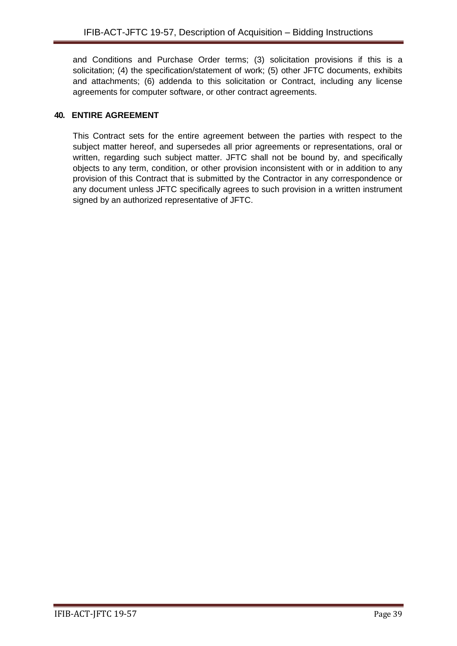and Conditions and Purchase Order terms; (3) solicitation provisions if this is a solicitation; (4) the specification/statement of work; (5) other JFTC documents, exhibits and attachments; (6) addenda to this solicitation or Contract, including any license agreements for computer software, or other contract agreements.

## <span id="page-38-0"></span>**40. ENTIRE AGREEMENT**

This Contract sets for the entire agreement between the parties with respect to the subject matter hereof, and supersedes all prior agreements or representations, oral or written, regarding such subject matter. JFTC shall not be bound by, and specifically objects to any term, condition, or other provision inconsistent with or in addition to any provision of this Contract that is submitted by the Contractor in any correspondence or any document unless JFTC specifically agrees to such provision in a written instrument signed by an authorized representative of JFTC.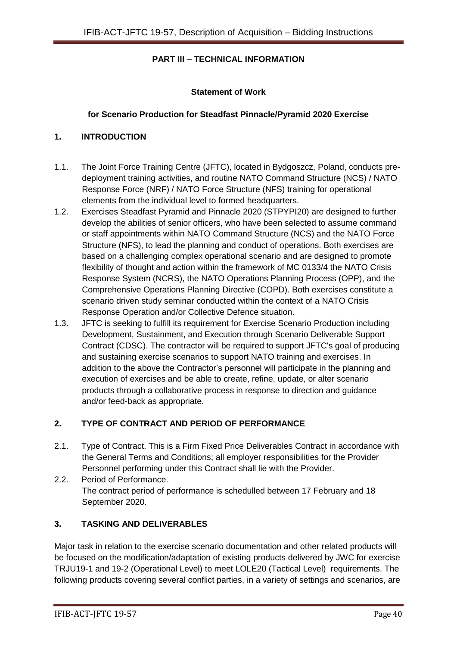## **PART III – TECHNICAL INFORMATION**

## **Statement of Work**

#### **for Scenario Production for Steadfast Pinnacle/Pyramid 2020 Exercise**

#### **1. INTRODUCTION**

- 1.1. The Joint Force Training Centre (JFTC), located in Bydgoszcz, Poland, conducts predeployment training activities, and routine NATO Command Structure (NCS) / NATO Response Force (NRF) / NATO Force Structure (NFS) training for operational elements from the individual level to formed headquarters.
- 1.2. Exercises Steadfast Pyramid and Pinnacle 2020 (STPYPI20) are designed to further develop the abilities of senior officers, who have been selected to assume command or staff appointments within NATO Command Structure (NCS) and the NATO Force Structure (NFS), to lead the planning and conduct of operations. Both exercises are based on a challenging complex operational scenario and are designed to promote flexibility of thought and action within the framework of MC 0133/4 the NATO Crisis Response System (NCRS), the NATO Operations Planning Process (OPP), and the Comprehensive Operations Planning Directive (COPD). Both exercises constitute a scenario driven study seminar conducted within the context of a NATO Crisis Response Operation and/or Collective Defence situation.
- 1.3. JFTC is seeking to fulfill its requirement for Exercise Scenario Production including Development, Sustainment, and Execution through Scenario Deliverable Support Contract (CDSC). The contractor will be required to support JFTC's goal of producing and sustaining exercise scenarios to support NATO training and exercises. In addition to the above the Contractor's personnel will participate in the planning and execution of exercises and be able to create, refine, update, or alter scenario products through a collaborative process in response to direction and guidance and/or feed-back as appropriate.

## **2. TYPE OF CONTRACT AND PERIOD OF PERFORMANCE**

- 2.1. Type of Contract. This is a Firm Fixed Price Deliverables Contract in accordance with the General Terms and Conditions; all employer responsibilities for the Provider Personnel performing under this Contract shall lie with the Provider.
- 2.2. Period of Performance. The contract period of performance is schedulled between 17 February and 18 September 2020.

## **3. TASKING AND DELIVERABLES**

Major task in relation to the exercise scenario documentation and other related products will be focused on the modification/adaptation of existing products delivered by JWC for exercise TRJU19-1 and 19-2 (Operational Level) to meet LOLE20 (Tactical Level) requirements. The following products covering several conflict parties, in a variety of settings and scenarios, are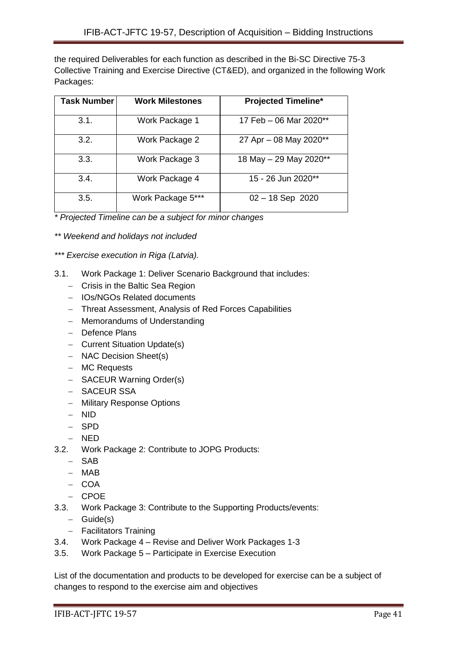the required Deliverables for each function as described in the Bi-SC Directive 75-3 Collective Training and Exercise Directive (CT&ED), and organized in the following Work Packages:

| <b>Task Number</b> | <b>Work Milestones</b> | <b>Projected Timeline*</b> |
|--------------------|------------------------|----------------------------|
| 3.1.               | Work Package 1         | 17 Feb - 06 Mar 2020**     |
| 3.2.               | Work Package 2         | 27 Apr - 08 May 2020**     |
| 3.3.               | Work Package 3         | 18 May - 29 May 2020**     |
| 3.4.               | Work Package 4         | 15 - 26 Jun 2020**         |
| 3.5.               | Work Package 5***      | $02 - 18$ Sep 2020         |

*\* Projected Timeline can be a subject for minor changes*

*\*\* Weekend and holidays not included*

*\*\*\* Exercise execution in Riga (Latvia).*

- 3.1. Work Package 1: Deliver Scenario Background that includes:
	- Crisis in the Baltic Sea Region
	- IOs/NGOs Related documents
	- Threat Assessment, Analysis of Red Forces Capabilities
	- Memorandums of Understanding
	- Defence Plans
	- Current Situation Update(s)
	- NAC Decision Sheet(s)
	- MC Requests
	- SACEUR Warning Order(s)
	- SACEUR SSA
	- Military Response Options
	- NID
	- SPD
	- NED
- 3.2. Work Package 2: Contribute to JOPG Products:
	- SAB
	- MAB
	- $-$  COA
	- $-$  CPOE
- 3.3. Work Package 3: Contribute to the Supporting Products/events:
	- $-$  Guide(s)
	- Facilitators Training
- 3.4. Work Package 4 Revise and Deliver Work Packages 1-3
- 3.5. Work Package 5 Participate in Exercise Execution

List of the documentation and products to be developed for exercise can be a subject of changes to respond to the exercise aim and objectives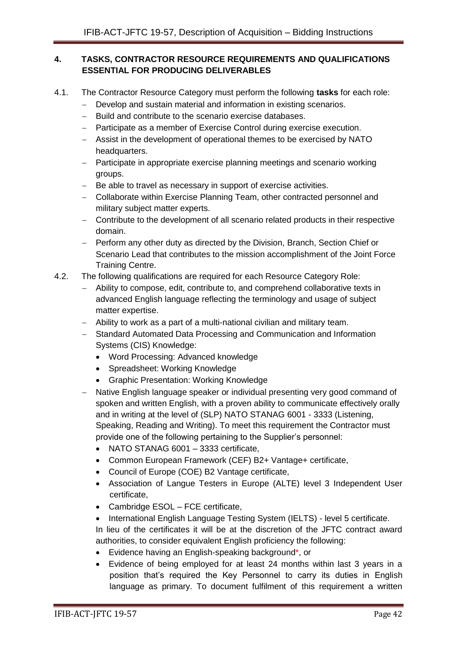## **4. TASKS, CONTRACTOR RESOURCE REQUIREMENTS AND QUALIFICATIONS ESSENTIAL FOR PRODUCING DELIVERABLES**

- 4.1. The Contractor Resource Category must perform the following **tasks** for each role:
	- Develop and sustain material and information in existing scenarios.
	- Build and contribute to the scenario exercise databases.
	- Participate as a member of Exercise Control during exercise execution.
	- Assist in the development of operational themes to be exercised by NATO headquarters.
	- Participate in appropriate exercise planning meetings and scenario working groups.
	- Be able to travel as necessary in support of exercise activities.
	- Collaborate within Exercise Planning Team, other contracted personnel and military subject matter experts.
	- Contribute to the development of all scenario related products in their respective domain.
	- Perform any other duty as directed by the Division, Branch, Section Chief or Scenario Lead that contributes to the mission accomplishment of the Joint Force Training Centre.
- 4.2. The following qualifications are required for each Resource Category Role:
	- Ability to compose, edit, contribute to, and comprehend collaborative texts in advanced English language reflecting the terminology and usage of subject matter expertise.
	- Ability to work as a part of a multi-national civilian and military team.
	- Standard Automated Data Processing and Communication and Information Systems (CIS) Knowledge:
		- Word Processing: Advanced knowledge
		- Spreadsheet: Working Knowledge
		- Graphic Presentation: Working Knowledge
	- Native English language speaker or individual presenting very good command of spoken and written English, with a proven ability to communicate effectively orally and in writing at the level of (SLP) NATO STANAG 6001 - 3333 (Listening, Speaking, Reading and Writing). To meet this requirement the Contractor must provide one of the following pertaining to the Supplier's personnel:
		- NATO STANAG 6001 3333 certificate,
		- Common European Framework (CEF) B2+ Vantage+ certificate,
		- Council of Europe (COE) B2 Vantage certificate,
		- Association of Langue Testers in Europe (ALTE) level 3 Independent User certificate,
		- Cambridge ESOL FCE certificate,
		- International English Language Testing System (IELTS) level 5 certificate.

In lieu of the certificates it will be at the discretion of the JFTC contract award authorities, to consider equivalent English proficiency the following:

- Evidence having an English-speaking background\*, or
- Evidence of being employed for at least 24 months within last 3 years in a position that's required the Key Personnel to carry its duties in English language as primary. To document fulfilment of this requirement a written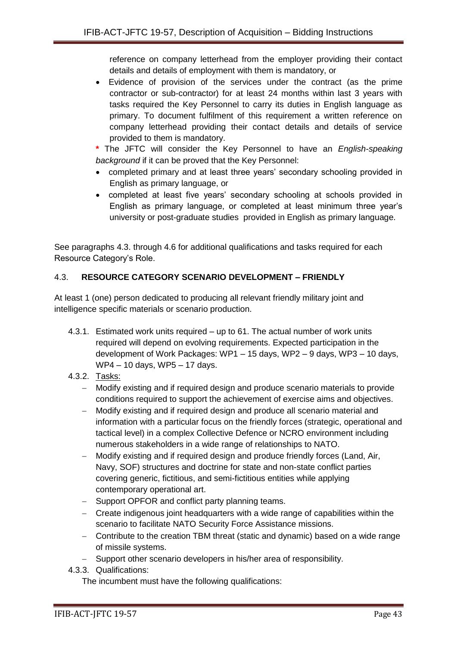reference on company letterhead from the employer providing their contact details and details of employment with them is mandatory, or

 Evidence of provision of the services under the contract (as the prime contractor or sub-contractor) for at least 24 months within last 3 years with tasks required the Key Personnel to carry its duties in English language as primary. To document fulfilment of this requirement a written reference on company letterhead providing their contact details and details of service provided to them is mandatory.

**\*** The JFTC will consider the Key Personnel to have an *English-speaking background* if it can be proved that the Key Personnel:

- completed primary and at least three years' secondary schooling provided in English as primary language, or
- completed at least five years' secondary schooling at schools provided in English as primary language, or completed at least minimum three year's university or post-graduate studies provided in English as primary language.

See paragraphs 4.3. through 4.6 for additional qualifications and tasks required for each Resource Category's Role.

## 4.3. **RESOURCE CATEGORY SCENARIO DEVELOPMENT – FRIENDLY**

At least 1 (one) person dedicated to producing all relevant friendly military joint and intelligence specific materials or scenario production.

- 4.3.1. Estimated work units required up to 61. The actual number of work units required will depend on evolving requirements. Expected participation in the development of Work Packages: WP1 – 15 days, WP2 – 9 days, WP3 – 10 days, WP4 – 10 days, WP5 – 17 days.
- 4.3.2. Tasks:
	- Modify existing and if required design and produce scenario materials to provide conditions required to support the achievement of exercise aims and objectives.
	- Modify existing and if required design and produce all scenario material and information with a particular focus on the friendly forces (strategic, operational and tactical level) in a complex Collective Defence or NCRO environment including numerous stakeholders in a wide range of relationships to NATO.
	- Modify existing and if required design and produce friendly forces (Land, Air, Navy, SOF) structures and doctrine for state and non-state conflict parties covering generic, fictitious, and semi-fictitious entities while applying contemporary operational art.
	- Support OPFOR and conflict party planning teams.
	- Create indigenous joint headquarters with a wide range of capabilities within the scenario to facilitate NATO Security Force Assistance missions.
	- Contribute to the creation TBM threat (static and dynamic) based on a wide range of missile systems.
	- Support other scenario developers in his/her area of responsibility.
- 4.3.3. Qualifications:

The incumbent must have the following qualifications: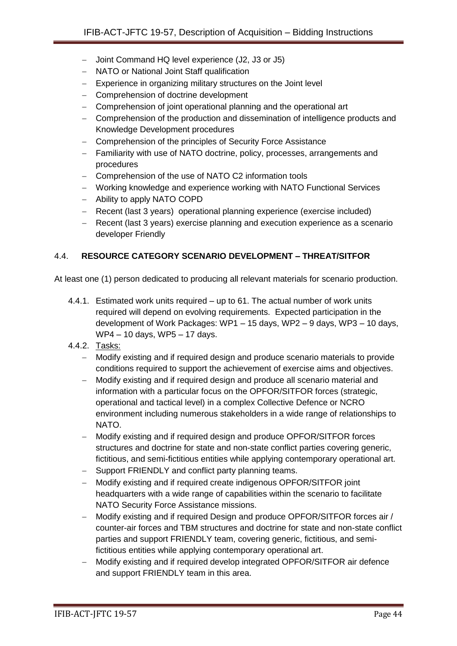- Joint Command HQ level experience (J2, J3 or J5)
- NATO or National Joint Staff qualification
- Experience in organizing military structures on the Joint level
- Comprehension of doctrine development
- Comprehension of joint operational planning and the operational art
- Comprehension of the production and dissemination of intelligence products and Knowledge Development procedures
- Comprehension of the principles of Security Force Assistance
- Familiarity with use of NATO doctrine, policy, processes, arrangements and procedures
- Comprehension of the use of NATO C2 information tools
- Working knowledge and experience working with NATO Functional Services
- Ability to apply NATO COPD
- Recent (last 3 years) operational planning experience (exercise included)
- Recent (last 3 years) exercise planning and execution experience as a scenario developer Friendly

## 4.4. **RESOURCE CATEGORY SCENARIO DEVELOPMENT – THREAT/SITFOR**

At least one (1) person dedicated to producing all relevant materials for scenario production.

- 4.4.1. Estimated work units required up to 61. The actual number of work units required will depend on evolving requirements. Expected participation in the development of Work Packages: WP1 – 15 days, WP2 – 9 days, WP3 – 10 days, WP4 – 10 days, WP5 – 17 days.
- 4.4.2. Tasks:
	- Modify existing and if required design and produce scenario materials to provide conditions required to support the achievement of exercise aims and objectives.
	- Modify existing and if required design and produce all scenario material and information with a particular focus on the OPFOR/SITFOR forces (strategic, operational and tactical level) in a complex Collective Defence or NCRO environment including numerous stakeholders in a wide range of relationships to NATO.
	- Modify existing and if required design and produce OPFOR/SITFOR forces structures and doctrine for state and non-state conflict parties covering generic, fictitious, and semi-fictitious entities while applying contemporary operational art.
	- Support FRIENDLY and conflict party planning teams.
	- Modify existing and if required create indigenous OPFOR/SITFOR joint headquarters with a wide range of capabilities within the scenario to facilitate NATO Security Force Assistance missions.
	- Modify existing and if required Design and produce OPFOR/SITFOR forces air / counter-air forces and TBM structures and doctrine for state and non-state conflict parties and support FRIENDLY team, covering generic, fictitious, and semifictitious entities while applying contemporary operational art.
	- Modify existing and if required develop integrated OPFOR/SITFOR air defence and support FRIENDLY team in this area.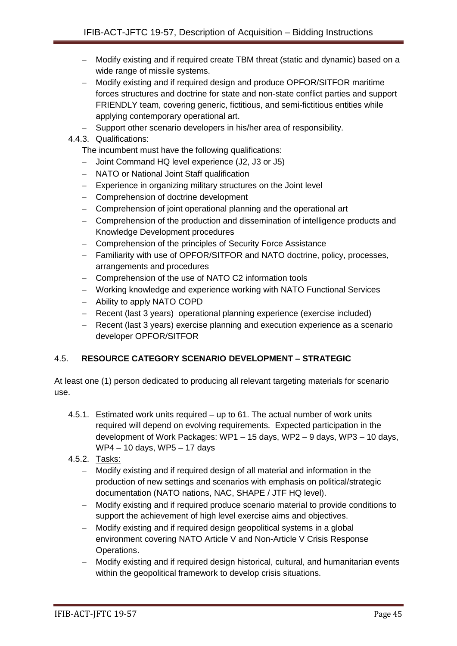- Modify existing and if required create TBM threat (static and dynamic) based on a wide range of missile systems.
- Modify existing and if required design and produce OPFOR/SITFOR maritime forces structures and doctrine for state and non-state conflict parties and support FRIENDLY team, covering generic, fictitious, and semi-fictitious entities while applying contemporary operational art.
- Support other scenario developers in his/her area of responsibility.
- 4.4.3. Qualifications:

The incumbent must have the following qualifications:

- Joint Command HQ level experience (J2, J3 or J5)
- NATO or National Joint Staff qualification
- Experience in organizing military structures on the Joint level
- Comprehension of doctrine development
- Comprehension of joint operational planning and the operational art
- Comprehension of the production and dissemination of intelligence products and Knowledge Development procedures
- Comprehension of the principles of Security Force Assistance
- Familiarity with use of OPFOR/SITFOR and NATO doctrine, policy, processes, arrangements and procedures
- Comprehension of the use of NATO C2 information tools
- Working knowledge and experience working with NATO Functional Services
- Ability to apply NATO COPD
- Recent (last 3 years) operational planning experience (exercise included)
- Recent (last 3 years) exercise planning and execution experience as a scenario developer OPFOR/SITFOR

## 4.5. **RESOURCE CATEGORY SCENARIO DEVELOPMENT – STRATEGIC**

At least one (1) person dedicated to producing all relevant targeting materials for scenario use.

- 4.5.1. Estimated work units required up to 61. The actual number of work units required will depend on evolving requirements. Expected participation in the development of Work Packages: WP1 – 15 days, WP2 – 9 days, WP3 – 10 days, WP4 – 10 days, WP5 – 17 days
- 4.5.2. Tasks:
	- Modify existing and if required design of all material and information in the production of new settings and scenarios with emphasis on political/strategic documentation (NATO nations, NAC, SHAPE / JTF HQ level).
	- Modify existing and if required produce scenario material to provide conditions to support the achievement of high level exercise aims and objectives.
	- Modify existing and if required design geopolitical systems in a global environment covering NATO Article V and Non-Article V Crisis Response Operations.
	- Modify existing and if required design historical, cultural, and humanitarian events within the geopolitical framework to develop crisis situations.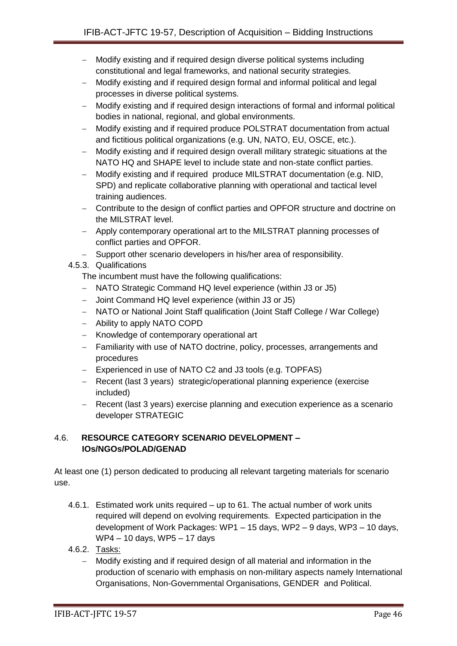- Modify existing and if required design diverse political systems including constitutional and legal frameworks, and national security strategies.
- Modify existing and if required design formal and informal political and legal processes in diverse political systems.
- Modify existing and if required design interactions of formal and informal political bodies in national, regional, and global environments.
- Modify existing and if required produce POLSTRAT documentation from actual and fictitious political organizations (e.g. UN, NATO, EU, OSCE, etc.).
- Modify existing and if required design overall military strategic situations at the NATO HQ and SHAPE level to include state and non-state conflict parties.
- Modify existing and if required produce MILSTRAT documentation (e.g. NID, SPD) and replicate collaborative planning with operational and tactical level training audiences.
- Contribute to the design of conflict parties and OPFOR structure and doctrine on the MILSTRAT level.
- Apply contemporary operational art to the MILSTRAT planning processes of conflict parties and OPFOR.
- Support other scenario developers in his/her area of responsibility.

# 4.5.3. Qualifications

The incumbent must have the following qualifications:

- NATO Strategic Command HQ level experience (within J3 or J5)
- Joint Command HQ level experience (within J3 or J5)
- NATO or National Joint Staff qualification (Joint Staff College / War College)
- Ability to apply NATO COPD
- Knowledge of contemporary operational art
- Familiarity with use of NATO doctrine, policy, processes, arrangements and procedures
- Experienced in use of NATO C2 and J3 tools (e.g. TOPFAS)
- Recent (last 3 years) strategic/operational planning experience (exercise included)
- Recent (last 3 years) exercise planning and execution experience as a scenario developer STRATEGIC

## 4.6. **RESOURCE CATEGORY SCENARIO DEVELOPMENT – IOs/NGOs/POLAD/GENAD**

At least one (1) person dedicated to producing all relevant targeting materials for scenario use.

- 4.6.1. Estimated work units required up to 61. The actual number of work units required will depend on evolving requirements. Expected participation in the development of Work Packages: WP1 – 15 days, WP2 – 9 days, WP3 – 10 days, WP4 – 10 days, WP5 – 17 days
- 4.6.2. Tasks:
	- Modify existing and if required design of all material and information in the production of scenario with emphasis on non-military aspects namely International Organisations, Non-Governmental Organisations, GENDER and Political.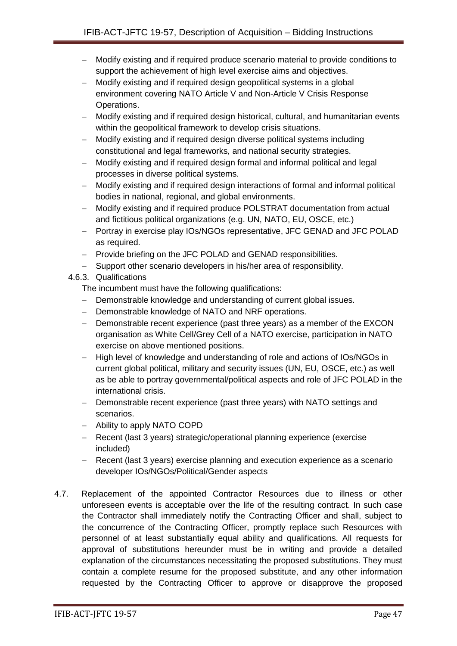- Modify existing and if required produce scenario material to provide conditions to support the achievement of high level exercise aims and objectives.
- Modify existing and if required design geopolitical systems in a global environment covering NATO Article V and Non-Article V Crisis Response Operations.
- Modify existing and if required design historical, cultural, and humanitarian events within the geopolitical framework to develop crisis situations.
- Modify existing and if required design diverse political systems including constitutional and legal frameworks, and national security strategies.
- Modify existing and if required design formal and informal political and legal processes in diverse political systems.
- Modify existing and if required design interactions of formal and informal political bodies in national, regional, and global environments.
- Modify existing and if required produce POLSTRAT documentation from actual and fictitious political organizations (e.g. UN, NATO, EU, OSCE, etc.)
- Portray in exercise play IOs/NGOs representative, JFC GENAD and JFC POLAD as required.
- Provide briefing on the JFC POLAD and GENAD responsibilities.
- Support other scenario developers in his/her area of responsibility.
- 4.6.3. Qualifications

The incumbent must have the following qualifications:

- Demonstrable knowledge and understanding of current global issues.
- Demonstrable knowledge of NATO and NRF operations.
- Demonstrable recent experience (past three years) as a member of the EXCON organisation as White Cell/Grey Cell of a NATO exercise, participation in NATO exercise on above mentioned positions.
- High level of knowledge and understanding of role and actions of IOs/NGOs in current global political, military and security issues (UN, EU, OSCE, etc.) as well as be able to portray governmental/political aspects and role of JFC POLAD in the international crisis.
- Demonstrable recent experience (past three years) with NATO settings and scenarios.
- Ability to apply NATO COPD
- Recent (last 3 years) strategic/operational planning experience (exercise included)
- Recent (last 3 years) exercise planning and execution experience as a scenario developer IOs/NGOs/Political/Gender aspects
- 4.7. Replacement of the appointed Contractor Resources due to illness or other unforeseen events is acceptable over the life of the resulting contract. In such case the Contractor shall immediately notify the Contracting Officer and shall, subject to the concurrence of the Contracting Officer, promptly replace such Resources with personnel of at least substantially equal ability and qualifications. All requests for approval of substitutions hereunder must be in writing and provide a detailed explanation of the circumstances necessitating the proposed substitutions. They must contain a complete resume for the proposed substitute, and any other information requested by the Contracting Officer to approve or disapprove the proposed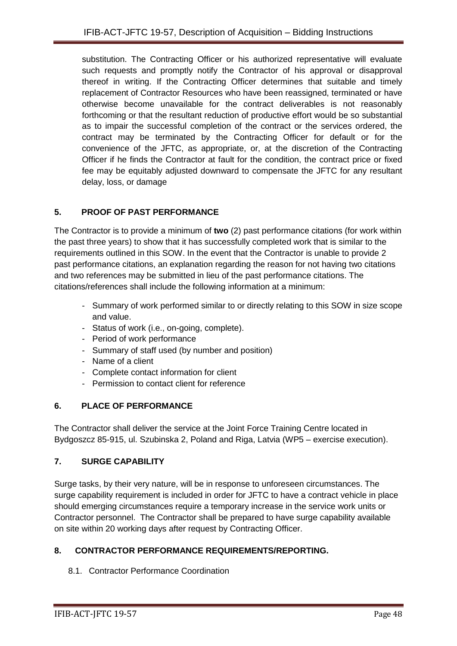substitution. The Contracting Officer or his authorized representative will evaluate such requests and promptly notify the Contractor of his approval or disapproval thereof in writing. If the Contracting Officer determines that suitable and timely replacement of Contractor Resources who have been reassigned, terminated or have otherwise become unavailable for the contract deliverables is not reasonably forthcoming or that the resultant reduction of productive effort would be so substantial as to impair the successful completion of the contract or the services ordered, the contract may be terminated by the Contracting Officer for default or for the convenience of the JFTC, as appropriate, or, at the discretion of the Contracting Officer if he finds the Contractor at fault for the condition, the contract price or fixed fee may be equitably adjusted downward to compensate the JFTC for any resultant delay, loss, or damage

## **5. PROOF OF PAST PERFORMANCE**

The Contractor is to provide a minimum of **two** (2) past performance citations (for work within the past three years) to show that it has successfully completed work that is similar to the requirements outlined in this SOW. In the event that the Contractor is unable to provide 2 past performance citations, an explanation regarding the reason for not having two citations and two references may be submitted in lieu of the past performance citations. The citations/references shall include the following information at a minimum:

- Summary of work performed similar to or directly relating to this SOW in size scope and value.
- Status of work (i.e., on-going, complete).
- Period of work performance
- Summary of staff used (by number and position)
- Name of a client
- Complete contact information for client
- Permission to contact client for reference

## **6. PLACE OF PERFORMANCE**

The Contractor shall deliver the service at the Joint Force Training Centre located in Bydgoszcz 85-915, ul. Szubinska 2, Poland and Riga, Latvia (WP5 – exercise execution).

# **7. SURGE CAPABILITY**

Surge tasks, by their very nature, will be in response to unforeseen circumstances. The surge capability requirement is included in order for JFTC to have a contract vehicle in place should emerging circumstances require a temporary increase in the service work units or Contractor personnel. The Contractor shall be prepared to have surge capability available on site within 20 working days after request by Contracting Officer.

# **8. CONTRACTOR PERFORMANCE REQUIREMENTS/REPORTING.**

## 8.1. Contractor Performance Coordination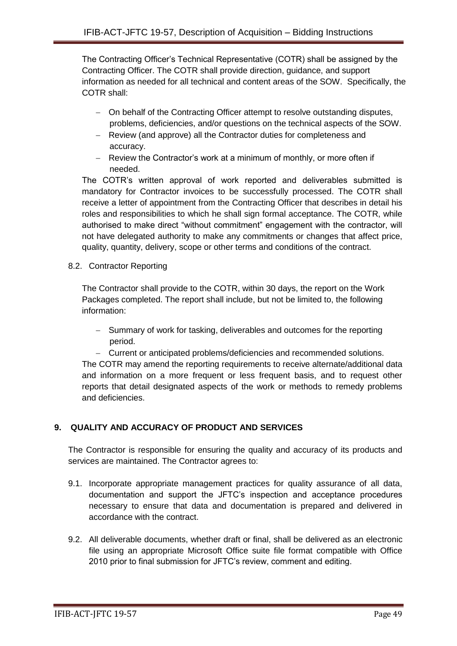The Contracting Officer's Technical Representative (COTR) shall be assigned by the Contracting Officer. The COTR shall provide direction, guidance, and support information as needed for all technical and content areas of the SOW. Specifically, the COTR shall:

- On behalf of the Contracting Officer attempt to resolve outstanding disputes, problems, deficiencies, and/or questions on the technical aspects of the SOW.
- Review (and approve) all the Contractor duties for completeness and accuracy.
- Review the Contractor's work at a minimum of monthly, or more often if needed.

The COTR's written approval of work reported and deliverables submitted is mandatory for Contractor invoices to be successfully processed. The COTR shall receive a letter of appointment from the Contracting Officer that describes in detail his roles and responsibilities to which he shall sign formal acceptance. The COTR, while authorised to make direct "without commitment" engagement with the contractor, will not have delegated authority to make any commitments or changes that affect price, quality, quantity, delivery, scope or other terms and conditions of the contract.

8.2. Contractor Reporting

The Contractor shall provide to the COTR, within 30 days, the report on the Work Packages completed. The report shall include, but not be limited to, the following information:

- Summary of work for tasking, deliverables and outcomes for the reporting period.
- Current or anticipated problems/deficiencies and recommended solutions.

The COTR may amend the reporting requirements to receive alternate/additional data and information on a more frequent or less frequent basis, and to request other reports that detail designated aspects of the work or methods to remedy problems and deficiencies.

## **9. QUALITY AND ACCURACY OF PRODUCT AND SERVICES**

The Contractor is responsible for ensuring the quality and accuracy of its products and services are maintained. The Contractor agrees to:

- 9.1. Incorporate appropriate management practices for quality assurance of all data, documentation and support the JFTC's inspection and acceptance procedures necessary to ensure that data and documentation is prepared and delivered in accordance with the contract.
- 9.2. All deliverable documents, whether draft or final, shall be delivered as an electronic file using an appropriate Microsoft Office suite file format compatible with Office 2010 prior to final submission for JFTC's review, comment and editing.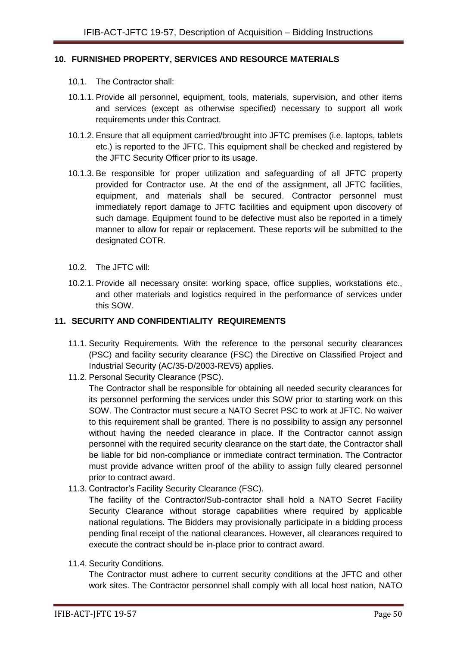#### **10. FURNISHED PROPERTY, SERVICES AND RESOURCE MATERIALS**

- 10.1. The Contractor shall:
- 10.1.1. Provide all personnel, equipment, tools, materials, supervision, and other items and services (except as otherwise specified) necessary to support all work requirements under this Contract.
- 10.1.2. Ensure that all equipment carried/brought into JFTC premises (i.e. laptops, tablets etc.) is reported to the JFTC. This equipment shall be checked and registered by the JFTC Security Officer prior to its usage.
- 10.1.3. Be responsible for proper utilization and safeguarding of all JFTC property provided for Contractor use. At the end of the assignment, all JFTC facilities, equipment, and materials shall be secured. Contractor personnel must immediately report damage to JFTC facilities and equipment upon discovery of such damage. Equipment found to be defective must also be reported in a timely manner to allow for repair or replacement. These reports will be submitted to the designated COTR.
- 10.2. The JFTC will:
- 10.2.1. Provide all necessary onsite: working space, office supplies, workstations etc., and other materials and logistics required in the performance of services under this SOW.

#### **11. SECURITY AND CONFIDENTIALITY REQUIREMENTS**

- 11.1. Security Requirements. With the reference to the personal security clearances (PSC) and facility security clearance (FSC) the Directive on Classified Project and Industrial Security (AC/35-D/2003-REV5) applies.
- 11.2. Personal Security Clearance (PSC).

The Contractor shall be responsible for obtaining all needed security clearances for its personnel performing the services under this SOW prior to starting work on this SOW. The Contractor must secure a NATO Secret PSC to work at JFTC. No waiver to this requirement shall be granted. There is no possibility to assign any personnel without having the needed clearance in place. If the Contractor cannot assign personnel with the required security clearance on the start date, the Contractor shall be liable for bid non-compliance or immediate contract termination. The Contractor must provide advance written proof of the ability to assign fully cleared personnel prior to contract award.

11.3. Contractor's Facility Security Clearance (FSC).

The facility of the Contractor/Sub-contractor shall hold a NATO Secret Facility Security Clearance without storage capabilities where required by applicable national regulations. The Bidders may provisionally participate in a bidding process pending final receipt of the national clearances. However, all clearances required to execute the contract should be in-place prior to contract award.

11.4. Security Conditions.

The Contractor must adhere to current security conditions at the JFTC and other work sites. The Contractor personnel shall comply with all local host nation, NATO